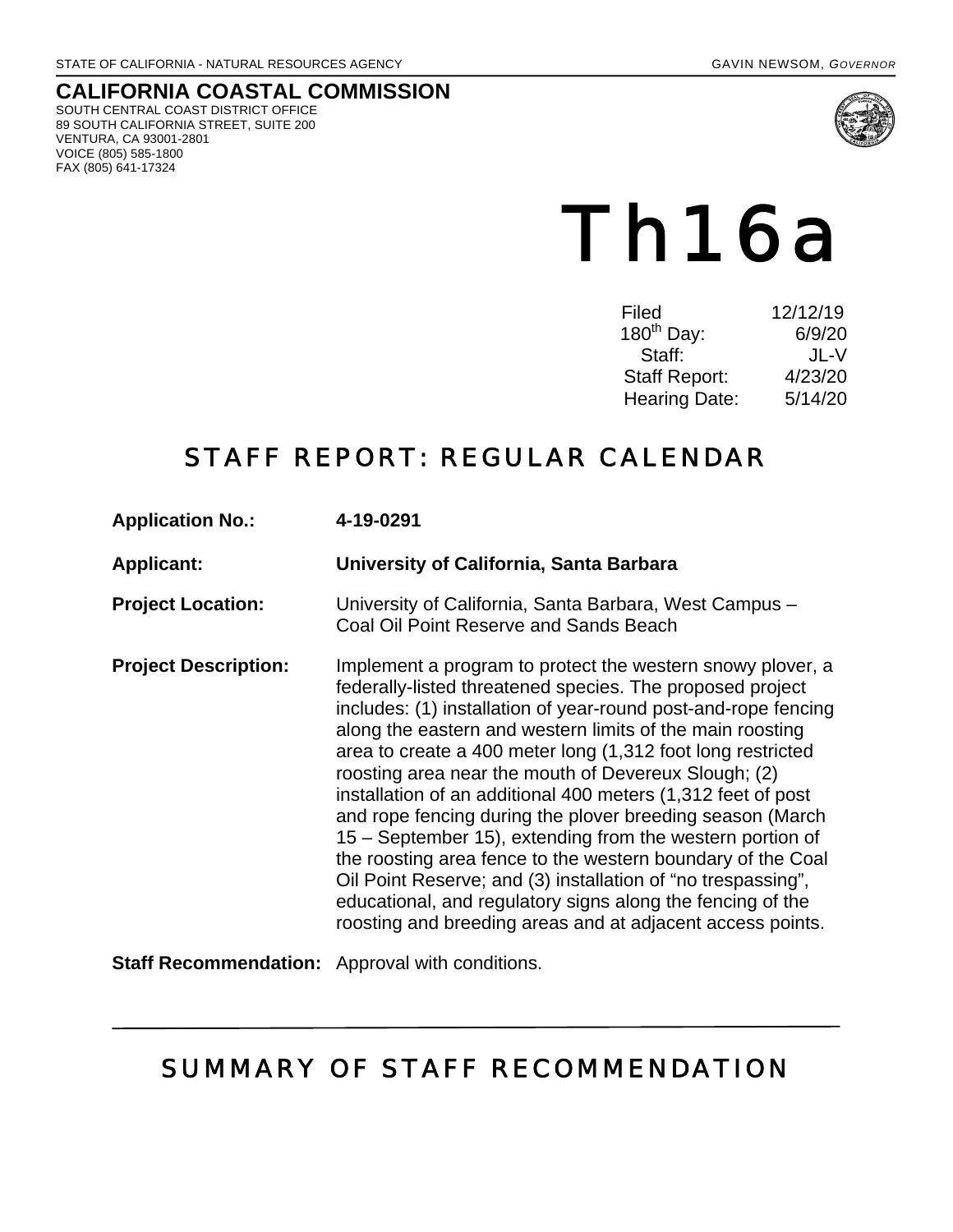#### **CALIFORNIA COASTAL COMMISSION** SOUTH CENTRAL COAST DISTRICT OFFICE 89 SOUTH CALIFORNIA STREET, SUITE 200 VENTURA, CA 93001-2801 VOICE (805) 585-1800

FAX (805) 641-17324



# Th16a

| 12/12/19 |
|----------|
| 6/9/20   |
| JL-V     |
| 4/23/20  |
| 5/14/20  |
|          |

# STAFF REPORT: REGULAR CALENDAR

| <b>Application No.:</b>                                | 4-19-0291                                                                                                                                                                                                                                                                                                                                                                                                                                                                                                                                                                                                                                                                                                                                                                                                                          |
|--------------------------------------------------------|------------------------------------------------------------------------------------------------------------------------------------------------------------------------------------------------------------------------------------------------------------------------------------------------------------------------------------------------------------------------------------------------------------------------------------------------------------------------------------------------------------------------------------------------------------------------------------------------------------------------------------------------------------------------------------------------------------------------------------------------------------------------------------------------------------------------------------|
| <b>Applicant:</b>                                      | University of California, Santa Barbara                                                                                                                                                                                                                                                                                                                                                                                                                                                                                                                                                                                                                                                                                                                                                                                            |
| <b>Project Location:</b>                               | University of California, Santa Barbara, West Campus -<br>Coal Oil Point Reserve and Sands Beach                                                                                                                                                                                                                                                                                                                                                                                                                                                                                                                                                                                                                                                                                                                                   |
| <b>Project Description:</b>                            | Implement a program to protect the western snowy plover, a<br>federally-listed threatened species. The proposed project<br>includes: (1) installation of year-round post-and-rope fencing<br>along the eastern and western limits of the main roosting<br>area to create a 400 meter long (1,312 foot long restricted<br>roosting area near the mouth of Devereux Slough; (2)<br>installation of an additional 400 meters (1,312 feet of post<br>and rope fencing during the plover breeding season (March<br>15 – September 15), extending from the western portion of<br>the roosting area fence to the western boundary of the Coal<br>Oil Point Reserve; and (3) installation of "no trespassing",<br>educational, and regulatory signs along the fencing of the<br>roosting and breeding areas and at adjacent access points. |
| <b>Staff Recommendation:</b> Approval with conditions. |                                                                                                                                                                                                                                                                                                                                                                                                                                                                                                                                                                                                                                                                                                                                                                                                                                    |

# SUMMARY OF STAFF RECOMMENDATION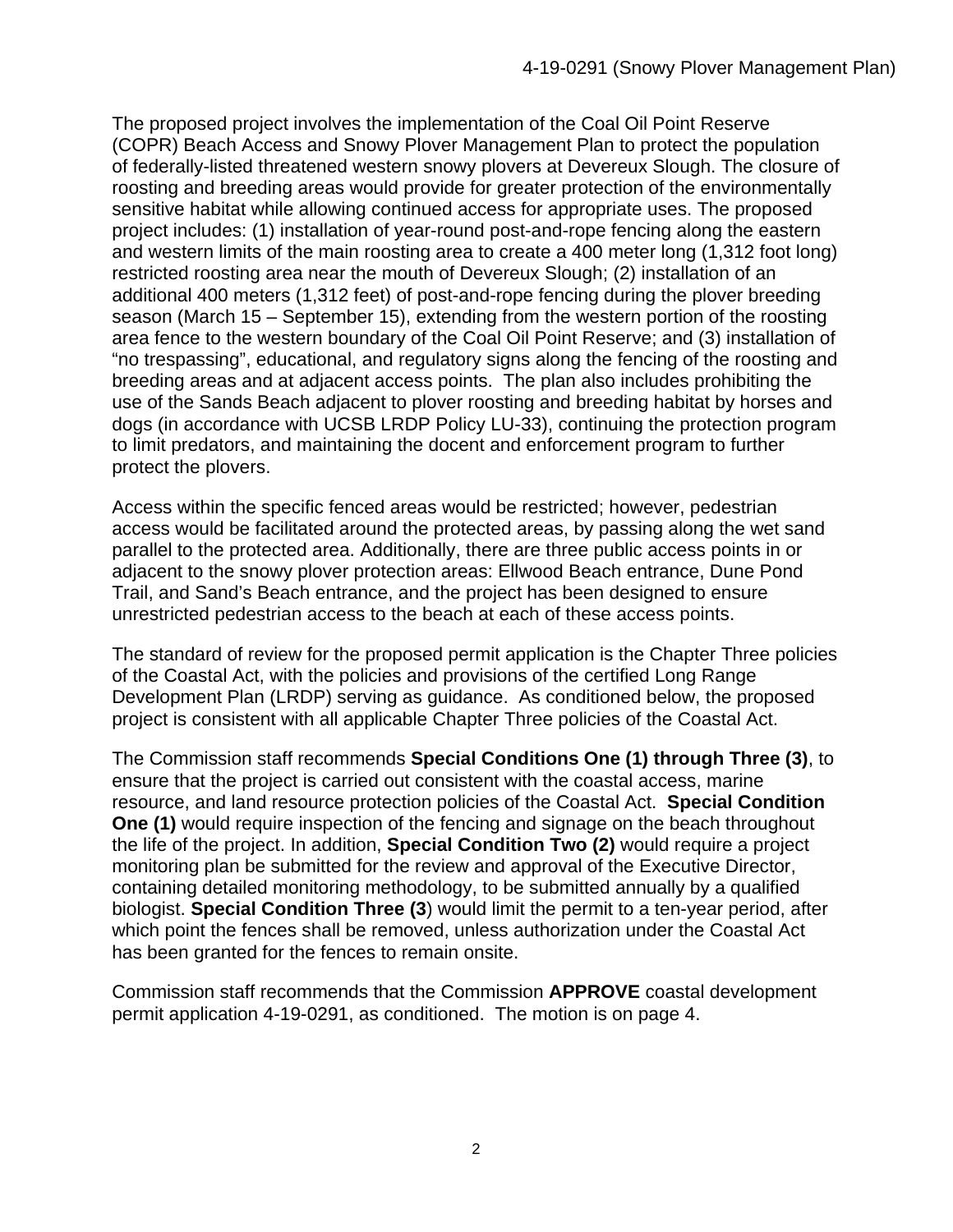The proposed project involves the implementation of the Coal Oil Point Reserve (COPR) Beach Access and Snowy Plover Management Plan to protect the population of federally-listed threatened western snowy plovers at Devereux Slough. The closure of roosting and breeding areas would provide for greater protection of the environmentally sensitive habitat while allowing continued access for appropriate uses. The proposed project includes: (1) installation of year-round post-and-rope fencing along the eastern and western limits of the main roosting area to create a 400 meter long (1,312 foot long) restricted roosting area near the mouth of Devereux Slough; (2) installation of an additional 400 meters (1,312 feet) of post-and-rope fencing during the plover breeding season (March 15 – September 15), extending from the western portion of the roosting area fence to the western boundary of the Coal Oil Point Reserve; and (3) installation of "no trespassing", educational, and regulatory signs along the fencing of the roosting and breeding areas and at adjacent access points. The plan also includes prohibiting the use of the Sands Beach adjacent to plover roosting and breeding habitat by horses and dogs (in accordance with UCSB LRDP Policy LU-33), continuing the protection program to limit predators, and maintaining the docent and enforcement program to further protect the plovers.

Access within the specific fenced areas would be restricted; however, pedestrian access would be facilitated around the protected areas, by passing along the wet sand parallel to the protected area. Additionally, there are three public access points in or adjacent to the snowy plover protection areas: Ellwood Beach entrance, Dune Pond Trail, and Sand's Beach entrance, and the project has been designed to ensure unrestricted pedestrian access to the beach at each of these access points.

The standard of review for the proposed permit application is the Chapter Three policies of the Coastal Act, with the policies and provisions of the certified Long Range Development Plan (LRDP) serving as guidance. As conditioned below, the proposed project is consistent with all applicable Chapter Three policies of the Coastal Act.

The Commission staff recommends **Special Conditions One (1) through Three (3)**, to ensure that the project is carried out consistent with the coastal access, marine resource, and land resource protection policies of the Coastal Act. **Special Condition One (1)** would require inspection of the fencing and signage on the beach throughout the life of the project. In addition, **Special Condition Two (2)** would require a project monitoring plan be submitted for the review and approval of the Executive Director, containing detailed monitoring methodology, to be submitted annually by a qualified biologist. **Special Condition Three (3**) would limit the permit to a ten-year period, after which point the fences shall be removed, unless authorization under the Coastal Act has been granted for the fences to remain onsite.

Commission staff recommends that the Commission **APPROVE** coastal development permit application 4-19-0291, as conditioned. The motion is on page 4.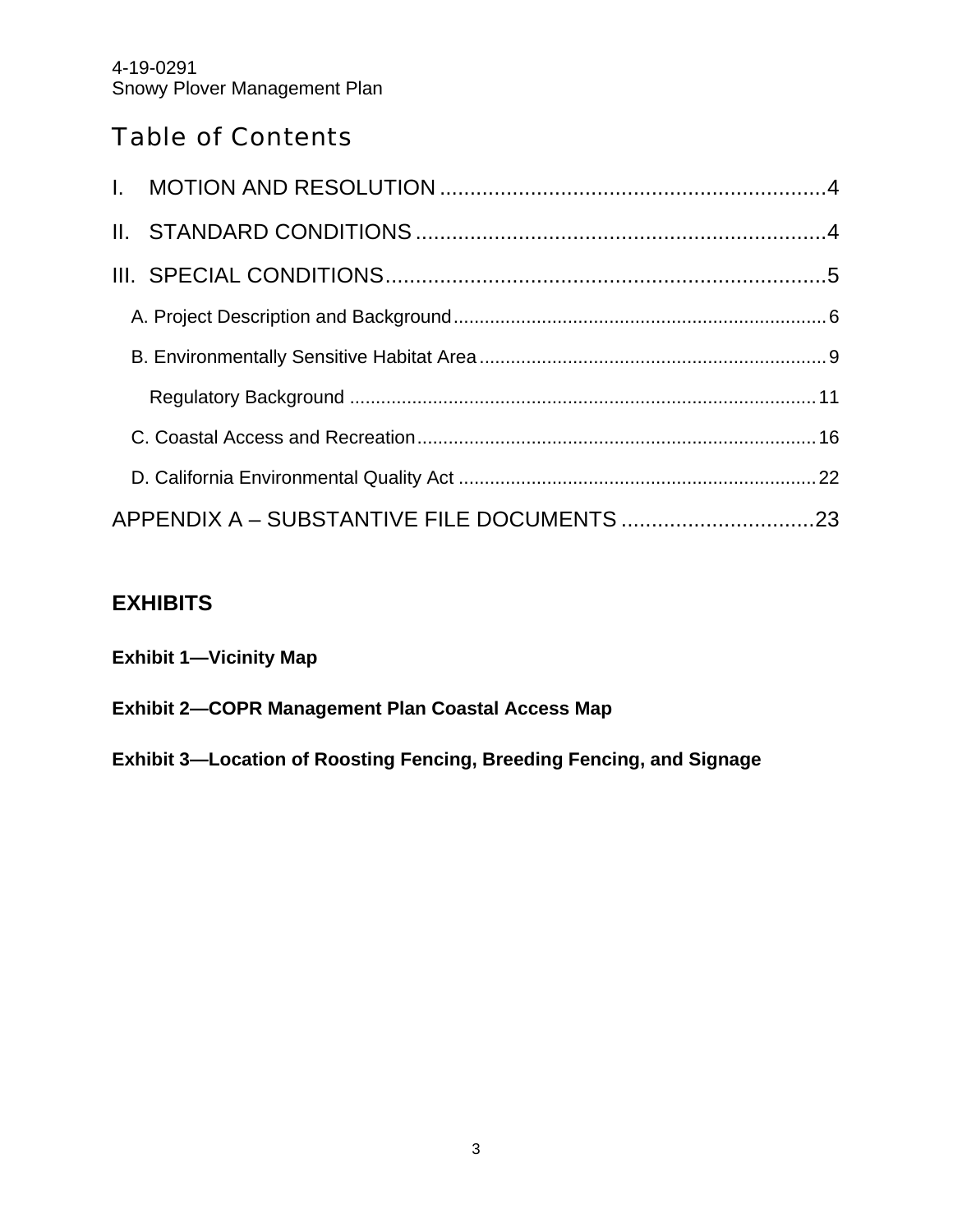# Table of Contents

# **EXHIBITS**

| <b>Exhibit 1—Vicinity Map</b>                     |  |
|---------------------------------------------------|--|
| Exhibit 2—COPR Management Plan Coastal Access Map |  |

**Exhibit 3—Location of Roosting Fencing, Breeding Fencing, and Signage**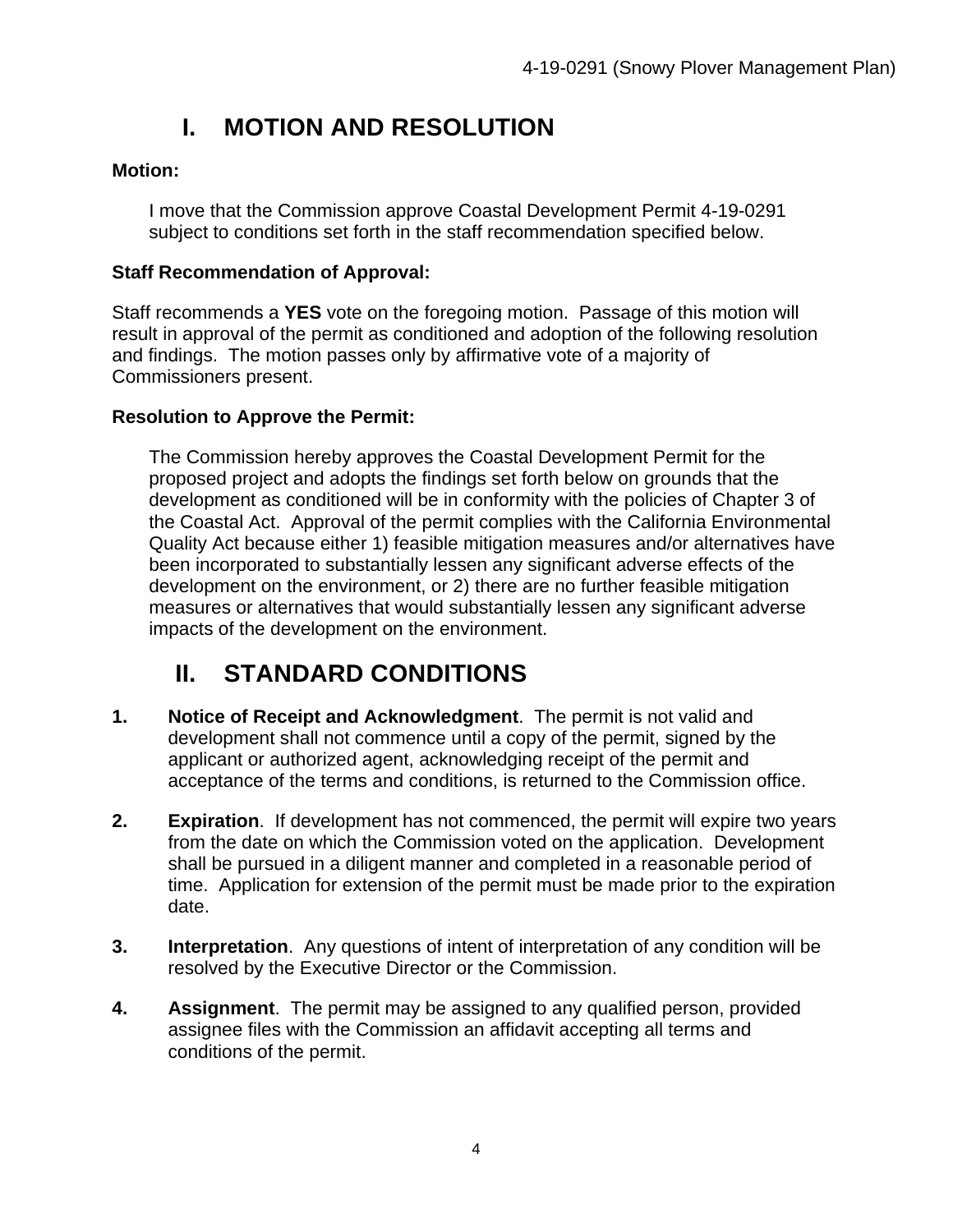# **I. MOTION AND RESOLUTION**

## **Motion:**

I move that the Commission approve Coastal Development Permit 4-19-0291 subject to conditions set forth in the staff recommendation specified below.

## **Staff Recommendation of Approval:**

Staff recommends a **YES** vote on the foregoing motion. Passage of this motion will result in approval of the permit as conditioned and adoption of the following resolution and findings. The motion passes only by affirmative vote of a majority of Commissioners present.

## **Resolution to Approve the Permit:**

The Commission hereby approves the Coastal Development Permit for the proposed project and adopts the findings set forth below on grounds that the development as conditioned will be in conformity with the policies of Chapter 3 of the Coastal Act. Approval of the permit complies with the California Environmental Quality Act because either 1) feasible mitigation measures and/or alternatives have been incorporated to substantially lessen any significant adverse effects of the development on the environment, or 2) there are no further feasible mitigation measures or alternatives that would substantially lessen any significant adverse impacts of the development on the environment.

# **II. STANDARD CONDITIONS**

- **1. Notice of Receipt and Acknowledgment**. The permit is not valid and development shall not commence until a copy of the permit, signed by the applicant or authorized agent, acknowledging receipt of the permit and acceptance of the terms and conditions, is returned to the Commission office.
- **2. Expiration**. If development has not commenced, the permit will expire two years from the date on which the Commission voted on the application. Development shall be pursued in a diligent manner and completed in a reasonable period of time. Application for extension of the permit must be made prior to the expiration date.
- **3. Interpretation**. Any questions of intent of interpretation of any condition will be resolved by the Executive Director or the Commission.
- **4. Assignment**. The permit may be assigned to any qualified person, provided assignee files with the Commission an affidavit accepting all terms and conditions of the permit.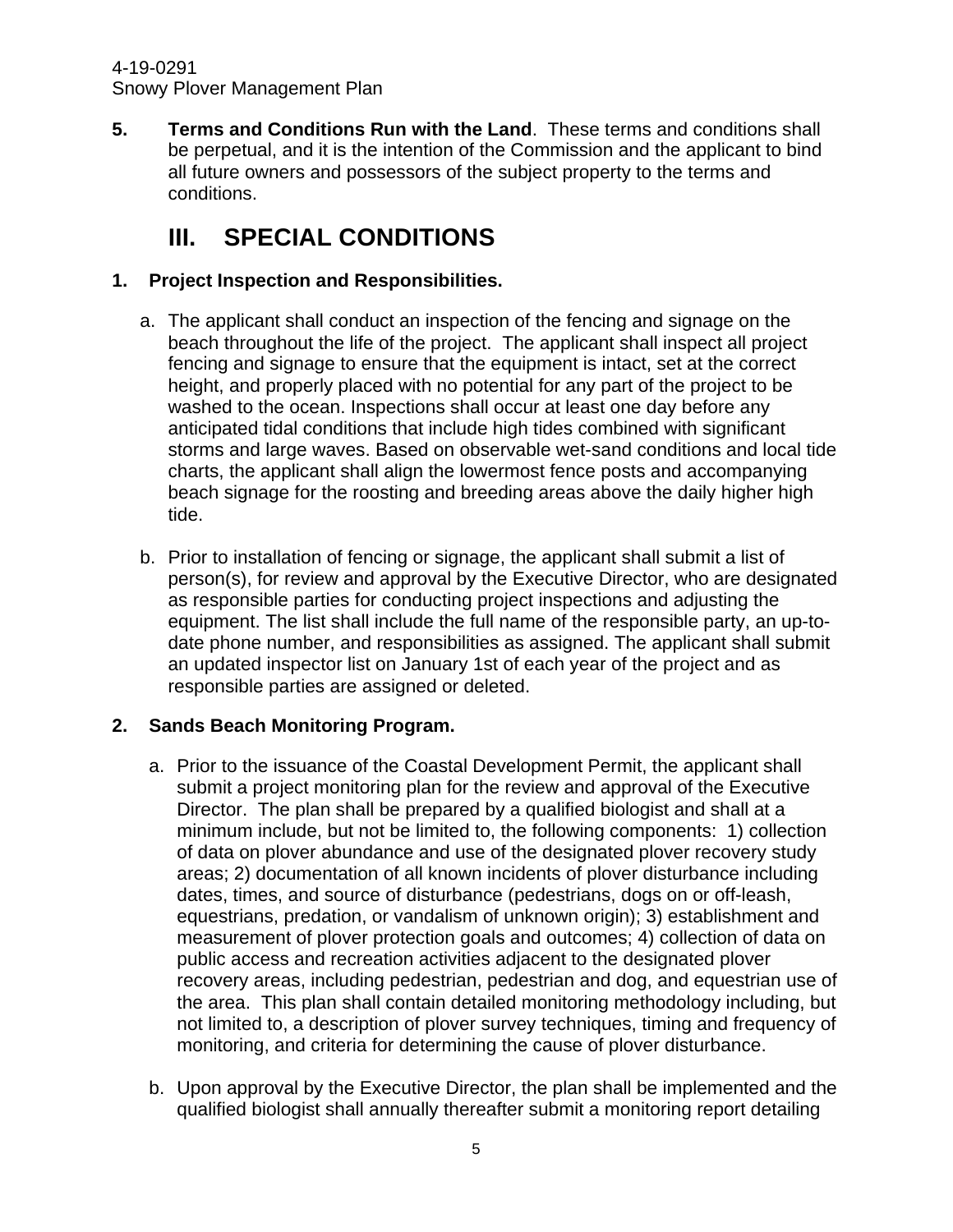**5. Terms and Conditions Run with the Land**. These terms and conditions shall be perpetual, and it is the intention of the Commission and the applicant to bind all future owners and possessors of the subject property to the terms and conditions.

# **III. SPECIAL CONDITIONS**

## **1. Project Inspection and Responsibilities.**

- a. The applicant shall conduct an inspection of the fencing and signage on the beach throughout the life of the project. The applicant shall inspect all project fencing and signage to ensure that the equipment is intact, set at the correct height, and properly placed with no potential for any part of the project to be washed to the ocean. Inspections shall occur at least one day before any anticipated tidal conditions that include high tides combined with significant storms and large waves. Based on observable wet-sand conditions and local tide charts, the applicant shall align the lowermost fence posts and accompanying beach signage for the roosting and breeding areas above the daily higher high tide.
- b. Prior to installation of fencing or signage, the applicant shall submit a list of person(s), for review and approval by the Executive Director, who are designated as responsible parties for conducting project inspections and adjusting the equipment. The list shall include the full name of the responsible party, an up-todate phone number, and responsibilities as assigned. The applicant shall submit an updated inspector list on January 1st of each year of the project and as responsible parties are assigned or deleted.

## **2. Sands Beach Monitoring Program.**

- a. Prior to the issuance of the Coastal Development Permit, the applicant shall submit a project monitoring plan for the review and approval of the Executive Director. The plan shall be prepared by a qualified biologist and shall at a minimum include, but not be limited to, the following components: 1) collection of data on plover abundance and use of the designated plover recovery study areas; 2) documentation of all known incidents of plover disturbance including dates, times, and source of disturbance (pedestrians, dogs on or off-leash, equestrians, predation, or vandalism of unknown origin); 3) establishment and measurement of plover protection goals and outcomes; 4) collection of data on public access and recreation activities adjacent to the designated plover recovery areas, including pedestrian, pedestrian and dog, and equestrian use of the area. This plan shall contain detailed monitoring methodology including, but not limited to, a description of plover survey techniques, timing and frequency of monitoring, and criteria for determining the cause of plover disturbance.
- b. Upon approval by the Executive Director, the plan shall be implemented and the qualified biologist shall annually thereafter submit a monitoring report detailing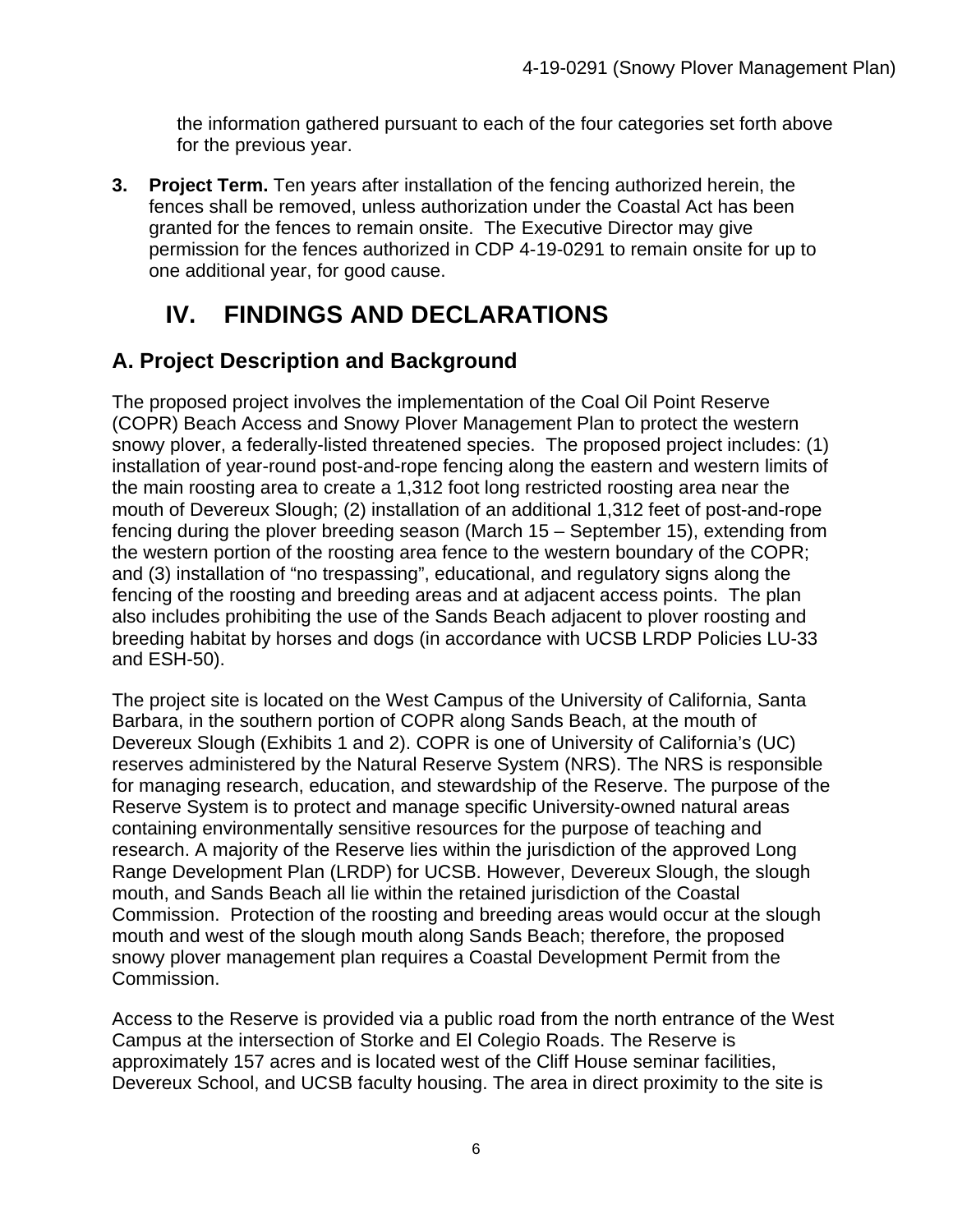the information gathered pursuant to each of the four categories set forth above for the previous year.

**3. Project Term.** Ten years after installation of the fencing authorized herein, the fences shall be removed, unless authorization under the Coastal Act has been granted for the fences to remain onsite. The Executive Director may give permission for the fences authorized in CDP 4-19-0291 to remain onsite for up to one additional year, for good cause.

# **IV. FINDINGS AND DECLARATIONS**

# **A. Project Description and Background**

The proposed project involves the implementation of the Coal Oil Point Reserve (COPR) Beach Access and Snowy Plover Management Plan to protect the western snowy plover, a federally-listed threatened species. The proposed project includes: (1) installation of year-round post-and-rope fencing along the eastern and western limits of the main roosting area to create a 1,312 foot long restricted roosting area near the mouth of Devereux Slough; (2) installation of an additional 1,312 feet of post-and-rope fencing during the plover breeding season (March 15 – September 15), extending from the western portion of the roosting area fence to the western boundary of the COPR; and (3) installation of "no trespassing", educational, and regulatory signs along the fencing of the roosting and breeding areas and at adjacent access points. The plan also includes prohibiting the use of the Sands Beach adjacent to plover roosting and breeding habitat by horses and dogs (in accordance with UCSB LRDP Policies LU-33 and ESH-50).

The project site is located on the West Campus of the University of California, Santa Barbara, in the southern portion of COPR along Sands Beach, at the mouth of Devereux Slough (Exhibits 1 and 2). COPR is one of University of California's (UC) reserves administered by the Natural Reserve System (NRS). The NRS is responsible for managing research, education, and stewardship of the Reserve. The purpose of the Reserve System is to protect and manage specific University-owned natural areas containing environmentally sensitive resources for the purpose of teaching and research. A majority of the Reserve lies within the jurisdiction of the approved Long Range Development Plan (LRDP) for UCSB. However, Devereux Slough, the slough mouth, and Sands Beach all lie within the retained jurisdiction of the Coastal Commission. Protection of the roosting and breeding areas would occur at the slough mouth and west of the slough mouth along Sands Beach; therefore, the proposed snowy plover management plan requires a Coastal Development Permit from the Commission.

Access to the Reserve is provided via a public road from the north entrance of the West Campus at the intersection of Storke and El Colegio Roads. The Reserve is approximately 157 acres and is located west of the Cliff House seminar facilities, Devereux School, and UCSB faculty housing. The area in direct proximity to the site is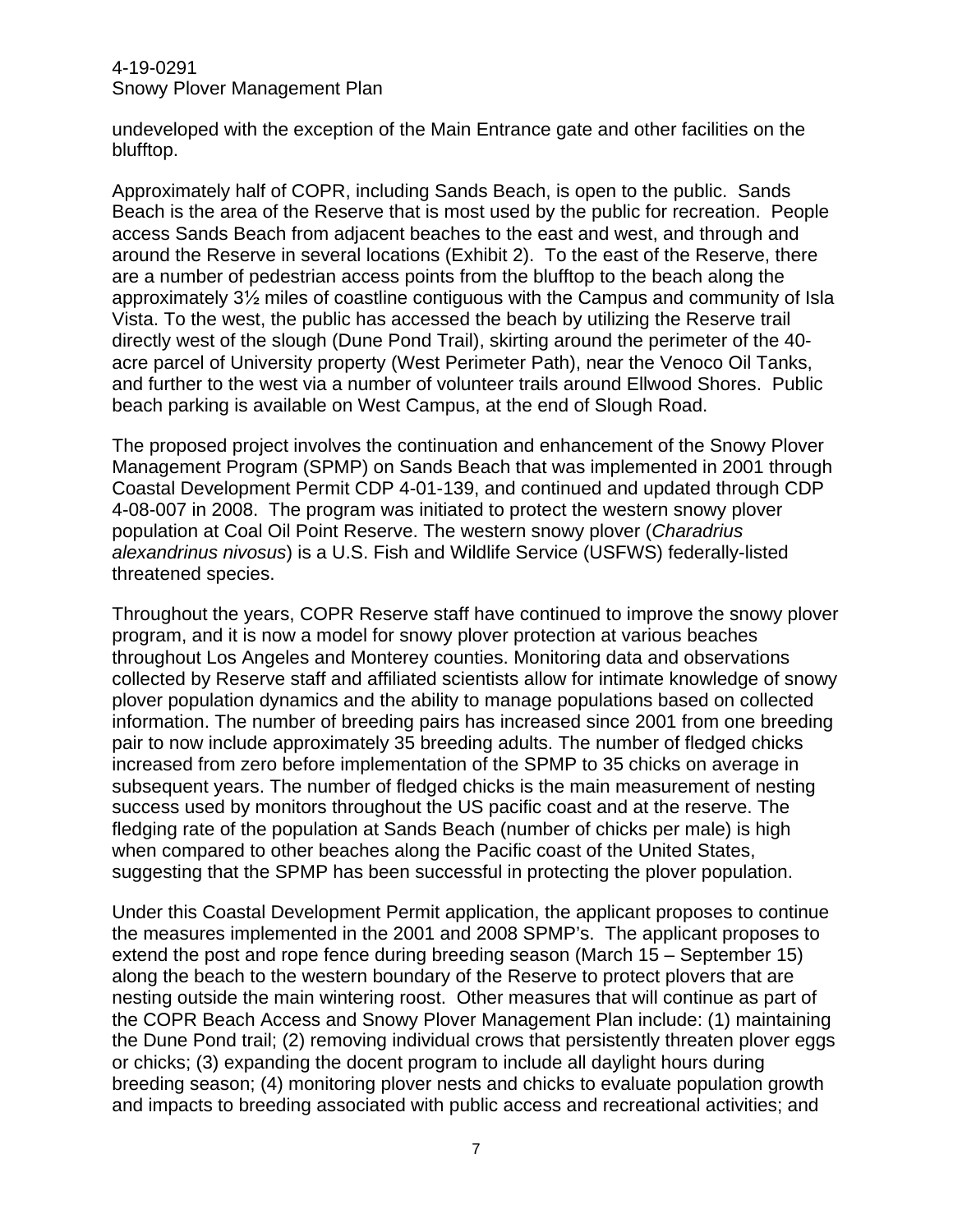undeveloped with the exception of the Main Entrance gate and other facilities on the blufftop.

Approximately half of COPR, including Sands Beach, is open to the public. Sands Beach is the area of the Reserve that is most used by the public for recreation. People access Sands Beach from adjacent beaches to the east and west, and through and around the Reserve in several locations (Exhibit 2). To the east of the Reserve, there are a number of pedestrian access points from the blufftop to the beach along the approximately 3½ miles of coastline contiguous with the Campus and community of Isla Vista. To the west, the public has accessed the beach by utilizing the Reserve trail directly west of the slough (Dune Pond Trail), skirting around the perimeter of the 40 acre parcel of University property (West Perimeter Path), near the Venoco Oil Tanks, and further to the west via a number of volunteer trails around Ellwood Shores. Public beach parking is available on West Campus, at the end of Slough Road.

The proposed project involves the continuation and enhancement of the Snowy Plover Management Program (SPMP) on Sands Beach that was implemented in 2001 through Coastal Development Permit CDP 4-01-139, and continued and updated through CDP 4-08-007 in 2008. The program was initiated to protect the western snowy plover population at Coal Oil Point Reserve. The western snowy plover (*Charadrius alexandrinus nivosus*) is a U.S. Fish and Wildlife Service (USFWS) federally-listed threatened species.

Throughout the years, COPR Reserve staff have continued to improve the snowy plover program, and it is now a model for snowy plover protection at various beaches throughout Los Angeles and Monterey counties. Monitoring data and observations collected by Reserve staff and affiliated scientists allow for intimate knowledge of snowy plover population dynamics and the ability to manage populations based on collected information. The number of breeding pairs has increased since 2001 from one breeding pair to now include approximately 35 breeding adults. The number of fledged chicks increased from zero before implementation of the SPMP to 35 chicks on average in subsequent years. The number of fledged chicks is the main measurement of nesting success used by monitors throughout the US pacific coast and at the reserve. The fledging rate of the population at Sands Beach (number of chicks per male) is high when compared to other beaches along the Pacific coast of the United States, suggesting that the SPMP has been successful in protecting the plover population.

Under this Coastal Development Permit application, the applicant proposes to continue the measures implemented in the 2001 and 2008 SPMP's. The applicant proposes to extend the post and rope fence during breeding season (March 15 – September 15) along the beach to the western boundary of the Reserve to protect plovers that are nesting outside the main wintering roost. Other measures that will continue as part of the COPR Beach Access and Snowy Plover Management Plan include: (1) maintaining the Dune Pond trail; (2) removing individual crows that persistently threaten plover eggs or chicks; (3) expanding the docent program to include all daylight hours during breeding season; (4) monitoring plover nests and chicks to evaluate population growth and impacts to breeding associated with public access and recreational activities; and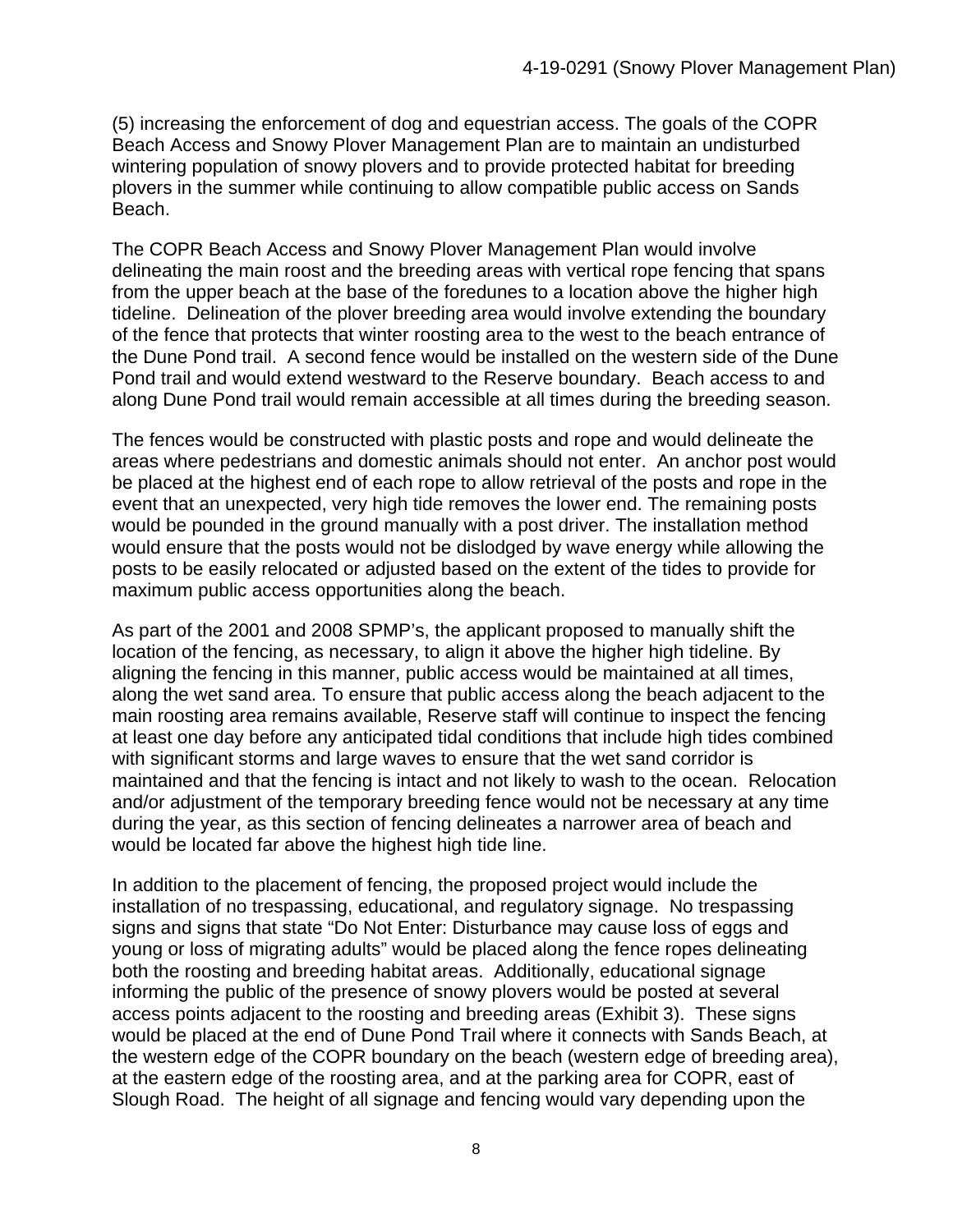(5) increasing the enforcement of dog and equestrian access. The goals of the COPR Beach Access and Snowy Plover Management Plan are to maintain an undisturbed wintering population of snowy plovers and to provide protected habitat for breeding plovers in the summer while continuing to allow compatible public access on Sands Beach.

The COPR Beach Access and Snowy Plover Management Plan would involve delineating the main roost and the breeding areas with vertical rope fencing that spans from the upper beach at the base of the foredunes to a location above the higher high tideline. Delineation of the plover breeding area would involve extending the boundary of the fence that protects that winter roosting area to the west to the beach entrance of the Dune Pond trail. A second fence would be installed on the western side of the Dune Pond trail and would extend westward to the Reserve boundary. Beach access to and along Dune Pond trail would remain accessible at all times during the breeding season.

The fences would be constructed with plastic posts and rope and would delineate the areas where pedestrians and domestic animals should not enter. An anchor post would be placed at the highest end of each rope to allow retrieval of the posts and rope in the event that an unexpected, very high tide removes the lower end. The remaining posts would be pounded in the ground manually with a post driver. The installation method would ensure that the posts would not be dislodged by wave energy while allowing the posts to be easily relocated or adjusted based on the extent of the tides to provide for maximum public access opportunities along the beach.

As part of the 2001 and 2008 SPMP's, the applicant proposed to manually shift the location of the fencing, as necessary, to align it above the higher high tideline. By aligning the fencing in this manner, public access would be maintained at all times, along the wet sand area. To ensure that public access along the beach adjacent to the main roosting area remains available, Reserve staff will continue to inspect the fencing at least one day before any anticipated tidal conditions that include high tides combined with significant storms and large waves to ensure that the wet sand corridor is maintained and that the fencing is intact and not likely to wash to the ocean. Relocation and/or adjustment of the temporary breeding fence would not be necessary at any time during the year, as this section of fencing delineates a narrower area of beach and would be located far above the highest high tide line.

In addition to the placement of fencing, the proposed project would include the installation of no trespassing, educational, and regulatory signage. No trespassing signs and signs that state "Do Not Enter: Disturbance may cause loss of eggs and young or loss of migrating adults" would be placed along the fence ropes delineating both the roosting and breeding habitat areas. Additionally, educational signage informing the public of the presence of snowy plovers would be posted at several access points adjacent to the roosting and breeding areas (Exhibit 3). These signs would be placed at the end of Dune Pond Trail where it connects with Sands Beach, at the western edge of the COPR boundary on the beach (western edge of breeding area), at the eastern edge of the roosting area, and at the parking area for COPR, east of Slough Road. The height of all signage and fencing would vary depending upon the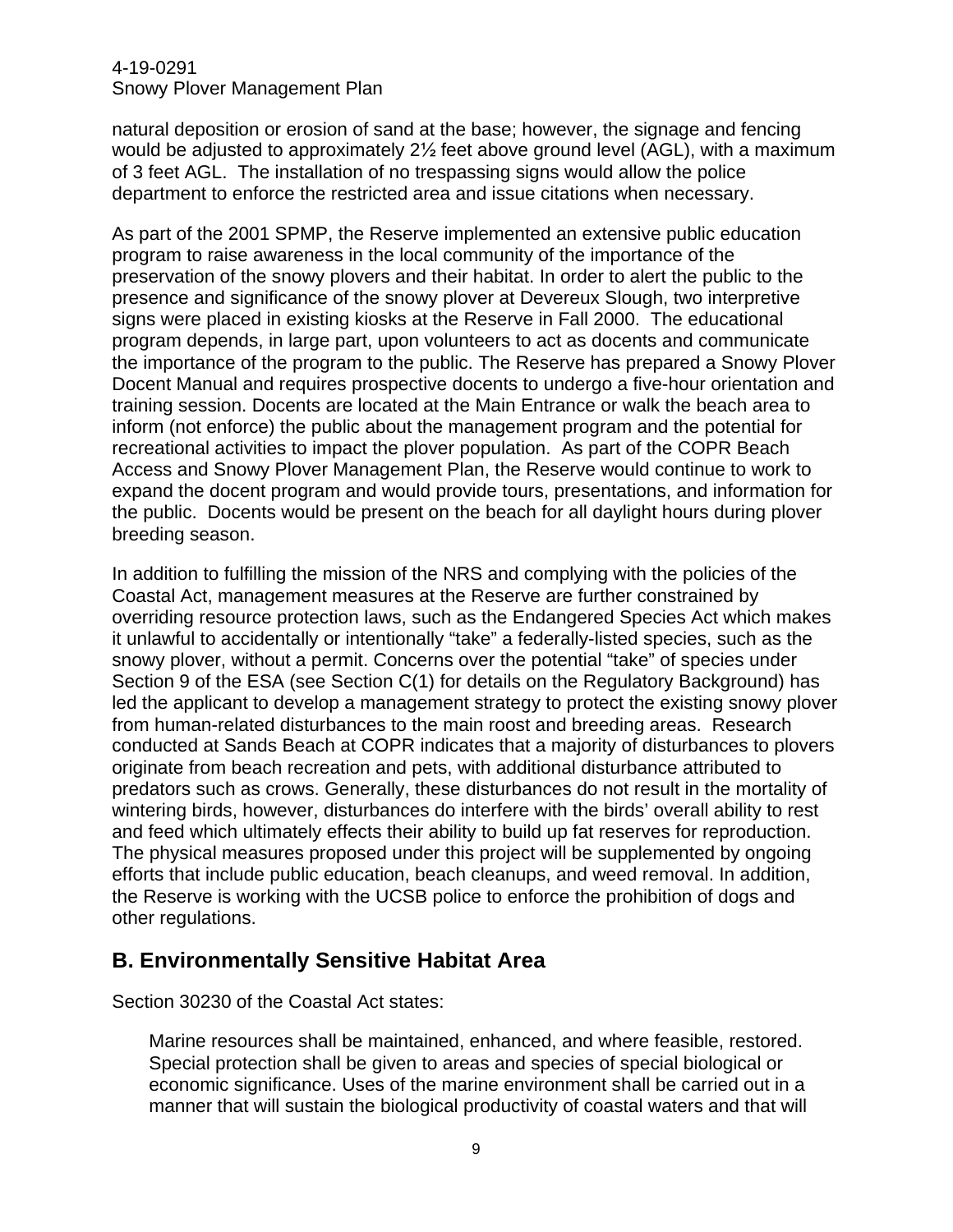natural deposition or erosion of sand at the base; however, the signage and fencing would be adjusted to approximately 2½ feet above ground level (AGL), with a maximum of 3 feet AGL. The installation of no trespassing signs would allow the police department to enforce the restricted area and issue citations when necessary.

As part of the 2001 SPMP, the Reserve implemented an extensive public education program to raise awareness in the local community of the importance of the preservation of the snowy plovers and their habitat. In order to alert the public to the presence and significance of the snowy plover at Devereux Slough, two interpretive signs were placed in existing kiosks at the Reserve in Fall 2000. The educational program depends, in large part, upon volunteers to act as docents and communicate the importance of the program to the public. The Reserve has prepared a Snowy Plover Docent Manual and requires prospective docents to undergo a five-hour orientation and training session. Docents are located at the Main Entrance or walk the beach area to inform (not enforce) the public about the management program and the potential for recreational activities to impact the plover population. As part of the COPR Beach Access and Snowy Plover Management Plan, the Reserve would continue to work to expand the docent program and would provide tours, presentations, and information for the public. Docents would be present on the beach for all daylight hours during plover breeding season.

In addition to fulfilling the mission of the NRS and complying with the policies of the Coastal Act, management measures at the Reserve are further constrained by overriding resource protection laws, such as the Endangered Species Act which makes it unlawful to accidentally or intentionally "take" a federally-listed species, such as the snowy plover, without a permit. Concerns over the potential "take" of species under Section 9 of the ESA (see Section C(1) for details on the Regulatory Background) has led the applicant to develop a management strategy to protect the existing snowy plover from human-related disturbances to the main roost and breeding areas. Research conducted at Sands Beach at COPR indicates that a majority of disturbances to plovers originate from beach recreation and pets, with additional disturbance attributed to predators such as crows. Generally, these disturbances do not result in the mortality of wintering birds, however, disturbances do interfere with the birds' overall ability to rest and feed which ultimately effects their ability to build up fat reserves for reproduction. The physical measures proposed under this project will be supplemented by ongoing efforts that include public education, beach cleanups, and weed removal. In addition, the Reserve is working with the UCSB police to enforce the prohibition of dogs and other regulations.

# **B. Environmentally Sensitive Habitat Area**

Section 30230 of the Coastal Act states:

Marine resources shall be maintained, enhanced, and where feasible, restored. Special protection shall be given to areas and species of special biological or economic significance. Uses of the marine environment shall be carried out in a manner that will sustain the biological productivity of coastal waters and that will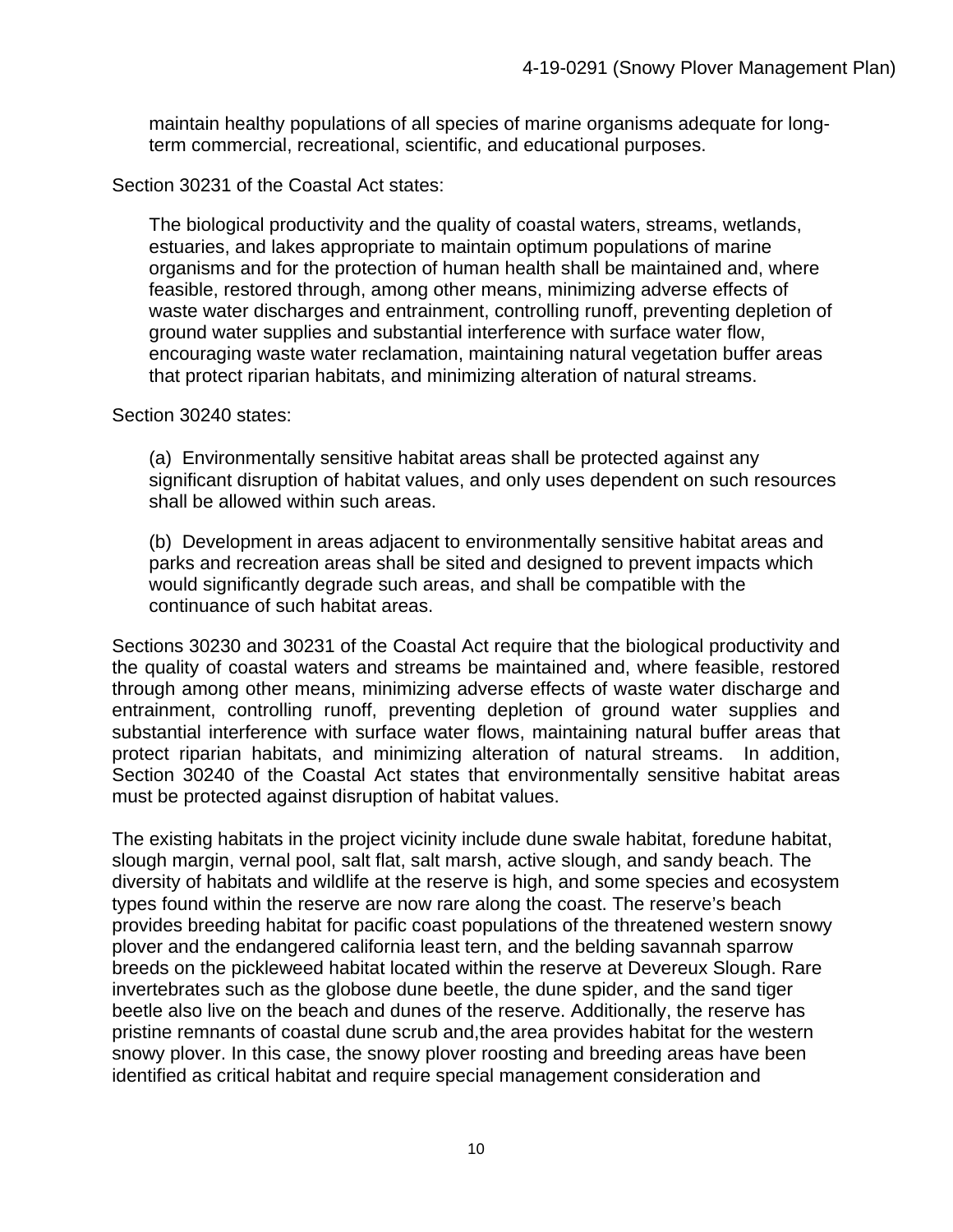maintain healthy populations of all species of marine organisms adequate for longterm commercial, recreational, scientific, and educational purposes.

Section 30231 of the Coastal Act states:

The biological productivity and the quality of coastal waters, streams, wetlands, estuaries, and lakes appropriate to maintain optimum populations of marine organisms and for the protection of human health shall be maintained and, where feasible, restored through, among other means, minimizing adverse effects of waste water discharges and entrainment, controlling runoff, preventing depletion of ground water supplies and substantial interference with surface water flow, encouraging waste water reclamation, maintaining natural vegetation buffer areas that protect riparian habitats, and minimizing alteration of natural streams.

Section 30240 states:

(a) Environmentally sensitive habitat areas shall be protected against any significant disruption of habitat values, and only uses dependent on such resources shall be allowed within such areas.

(b) Development in areas adjacent to environmentally sensitive habitat areas and parks and recreation areas shall be sited and designed to prevent impacts which would significantly degrade such areas, and shall be compatible with the continuance of such habitat areas.

Sections 30230 and 30231 of the Coastal Act require that the biological productivity and the quality of coastal waters and streams be maintained and, where feasible, restored through among other means, minimizing adverse effects of waste water discharge and entrainment, controlling runoff, preventing depletion of ground water supplies and substantial interference with surface water flows, maintaining natural buffer areas that protect riparian habitats, and minimizing alteration of natural streams. In addition, Section 30240 of the Coastal Act states that environmentally sensitive habitat areas must be protected against disruption of habitat values.

The existing habitats in the project vicinity include dune swale habitat, foredune habitat, slough margin, vernal pool, salt flat, salt marsh, active slough, and sandy beach. The diversity of habitats and wildlife at the reserve is high, and some species and ecosystem types found within the reserve are now rare along the coast. The reserve's beach provides breeding habitat for pacific coast populations of the threatened western snowy plover and the endangered california least tern, and the belding savannah sparrow breeds on the pickleweed habitat located within the reserve at Devereux Slough. Rare invertebrates such as the globose dune beetle, the dune spider, and the sand tiger beetle also live on the beach and dunes of the reserve. Additionally, the reserve has pristine remnants of coastal dune scrub and,the area provides habitat for the western snowy plover. In this case, the snowy plover roosting and breeding areas have been identified as critical habitat and require special management consideration and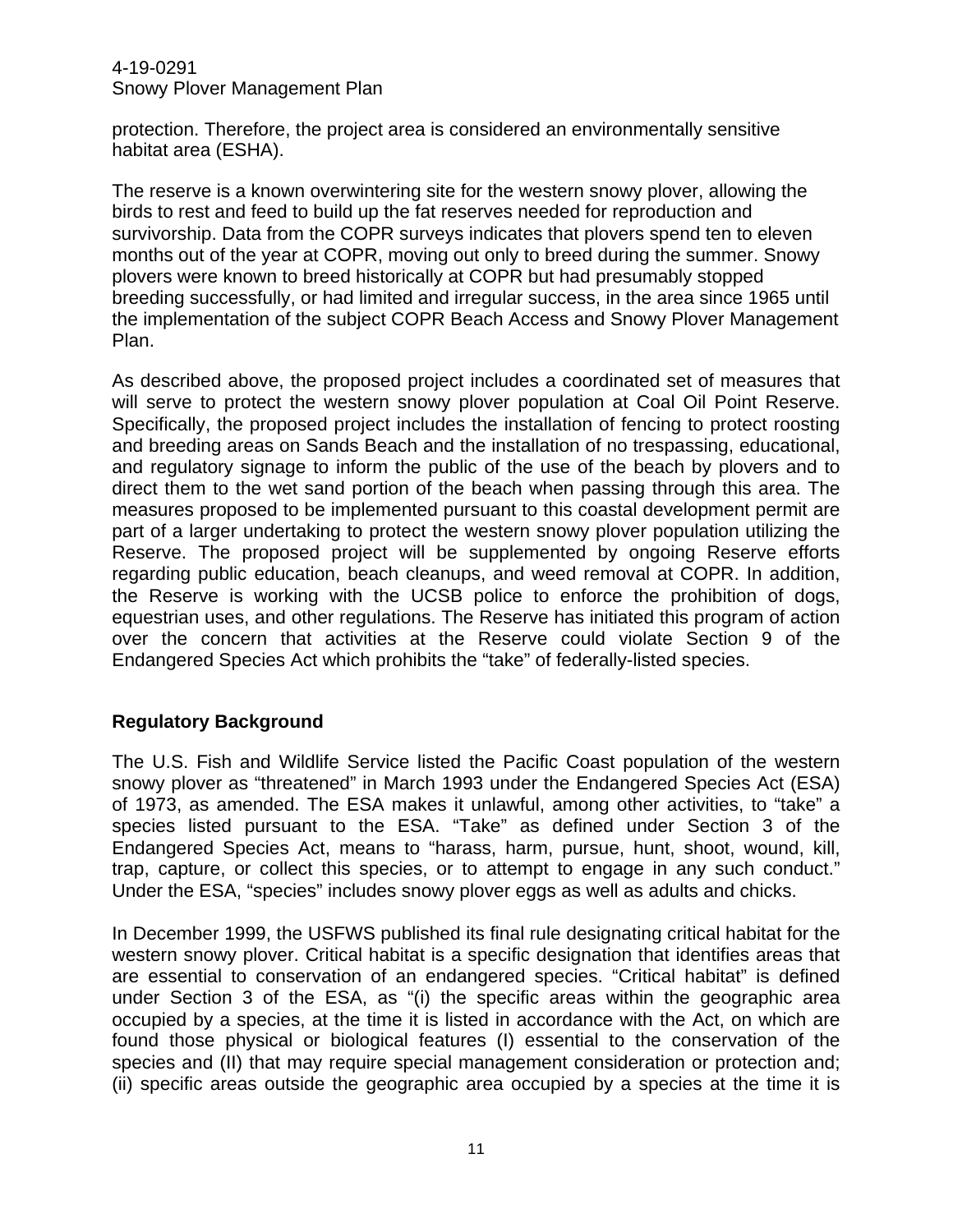protection. Therefore, the project area is considered an environmentally sensitive habitat area (ESHA).

The reserve is a known overwintering site for the western snowy plover, allowing the birds to rest and feed to build up the fat reserves needed for reproduction and survivorship. Data from the COPR surveys indicates that plovers spend ten to eleven months out of the year at COPR, moving out only to breed during the summer. Snowy plovers were known to breed historically at COPR but had presumably stopped breeding successfully, or had limited and irregular success, in the area since 1965 until the implementation of the subject COPR Beach Access and Snowy Plover Management Plan.

As described above, the proposed project includes a coordinated set of measures that will serve to protect the western snowy plover population at Coal Oil Point Reserve. Specifically, the proposed project includes the installation of fencing to protect roosting and breeding areas on Sands Beach and the installation of no trespassing, educational, and regulatory signage to inform the public of the use of the beach by plovers and to direct them to the wet sand portion of the beach when passing through this area. The measures proposed to be implemented pursuant to this coastal development permit are part of a larger undertaking to protect the western snowy plover population utilizing the Reserve. The proposed project will be supplemented by ongoing Reserve efforts regarding public education, beach cleanups, and weed removal at COPR. In addition, the Reserve is working with the UCSB police to enforce the prohibition of dogs, equestrian uses, and other regulations. The Reserve has initiated this program of action over the concern that activities at the Reserve could violate Section 9 of the Endangered Species Act which prohibits the "take" of federally-listed species.

## **Regulatory Background**

The U.S. Fish and Wildlife Service listed the Pacific Coast population of the western snowy plover as "threatened" in March 1993 under the Endangered Species Act (ESA) of 1973, as amended. The ESA makes it unlawful, among other activities, to "take" a species listed pursuant to the ESA. "Take" as defined under Section 3 of the Endangered Species Act, means to "harass, harm, pursue, hunt, shoot, wound, kill, trap, capture, or collect this species, or to attempt to engage in any such conduct." Under the ESA, "species" includes snowy plover eggs as well as adults and chicks.

In December 1999, the USFWS published its final rule designating critical habitat for the western snowy plover. Critical habitat is a specific designation that identifies areas that are essential to conservation of an endangered species. "Critical habitat" is defined under Section 3 of the ESA, as "(i) the specific areas within the geographic area occupied by a species, at the time it is listed in accordance with the Act, on which are found those physical or biological features (I) essential to the conservation of the species and (II) that may require special management consideration or protection and; (ii) specific areas outside the geographic area occupied by a species at the time it is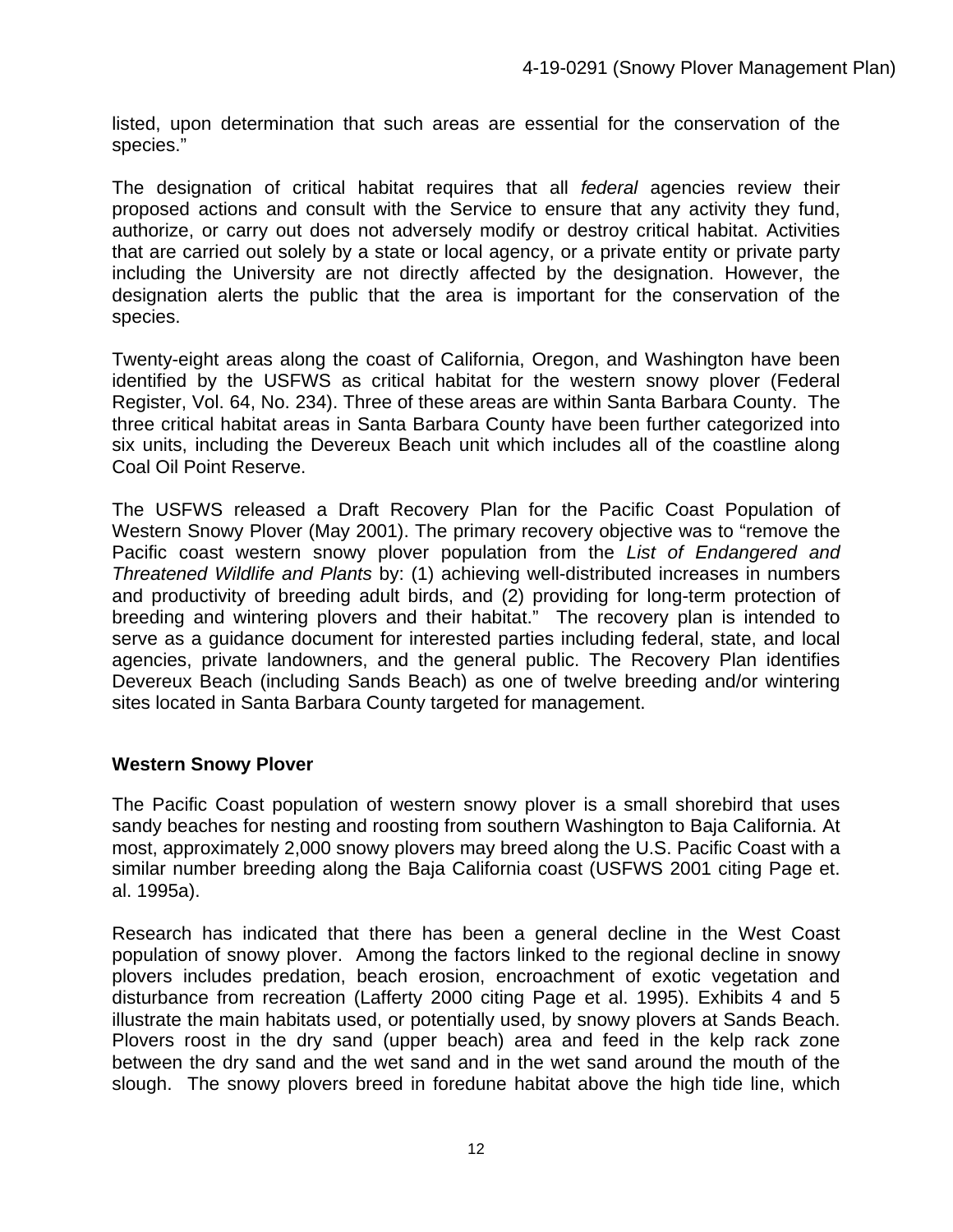listed, upon determination that such areas are essential for the conservation of the species."

The designation of critical habitat requires that all *federal* agencies review their proposed actions and consult with the Service to ensure that any activity they fund, authorize, or carry out does not adversely modify or destroy critical habitat. Activities that are carried out solely by a state or local agency, or a private entity or private party including the University are not directly affected by the designation. However, the designation alerts the public that the area is important for the conservation of the species.

Twenty-eight areas along the coast of California, Oregon, and Washington have been identified by the USFWS as critical habitat for the western snowy plover (Federal Register, Vol. 64, No. 234). Three of these areas are within Santa Barbara County. The three critical habitat areas in Santa Barbara County have been further categorized into six units, including the Devereux Beach unit which includes all of the coastline along Coal Oil Point Reserve.

The USFWS released a Draft Recovery Plan for the Pacific Coast Population of Western Snowy Plover (May 2001). The primary recovery objective was to "remove the Pacific coast western snowy plover population from the *List of Endangered and Threatened Wildlife and Plants* by: (1) achieving well-distributed increases in numbers and productivity of breeding adult birds, and (2) providing for long-term protection of breeding and wintering plovers and their habitat." The recovery plan is intended to serve as a guidance document for interested parties including federal, state, and local agencies, private landowners, and the general public. The Recovery Plan identifies Devereux Beach (including Sands Beach) as one of twelve breeding and/or wintering sites located in Santa Barbara County targeted for management.

## **Western Snowy Plover**

The Pacific Coast population of western snowy plover is a small shorebird that uses sandy beaches for nesting and roosting from southern Washington to Baja California. At most, approximately 2,000 snowy plovers may breed along the U.S. Pacific Coast with a similar number breeding along the Baja California coast (USFWS 2001 citing Page et. al. 1995a).

Research has indicated that there has been a general decline in the West Coast population of snowy plover. Among the factors linked to the regional decline in snowy plovers includes predation, beach erosion, encroachment of exotic vegetation and disturbance from recreation (Lafferty 2000 citing Page et al. 1995). Exhibits 4 and 5 illustrate the main habitats used, or potentially used, by snowy plovers at Sands Beach. Plovers roost in the dry sand (upper beach) area and feed in the kelp rack zone between the dry sand and the wet sand and in the wet sand around the mouth of the slough. The snowy plovers breed in foredune habitat above the high tide line, which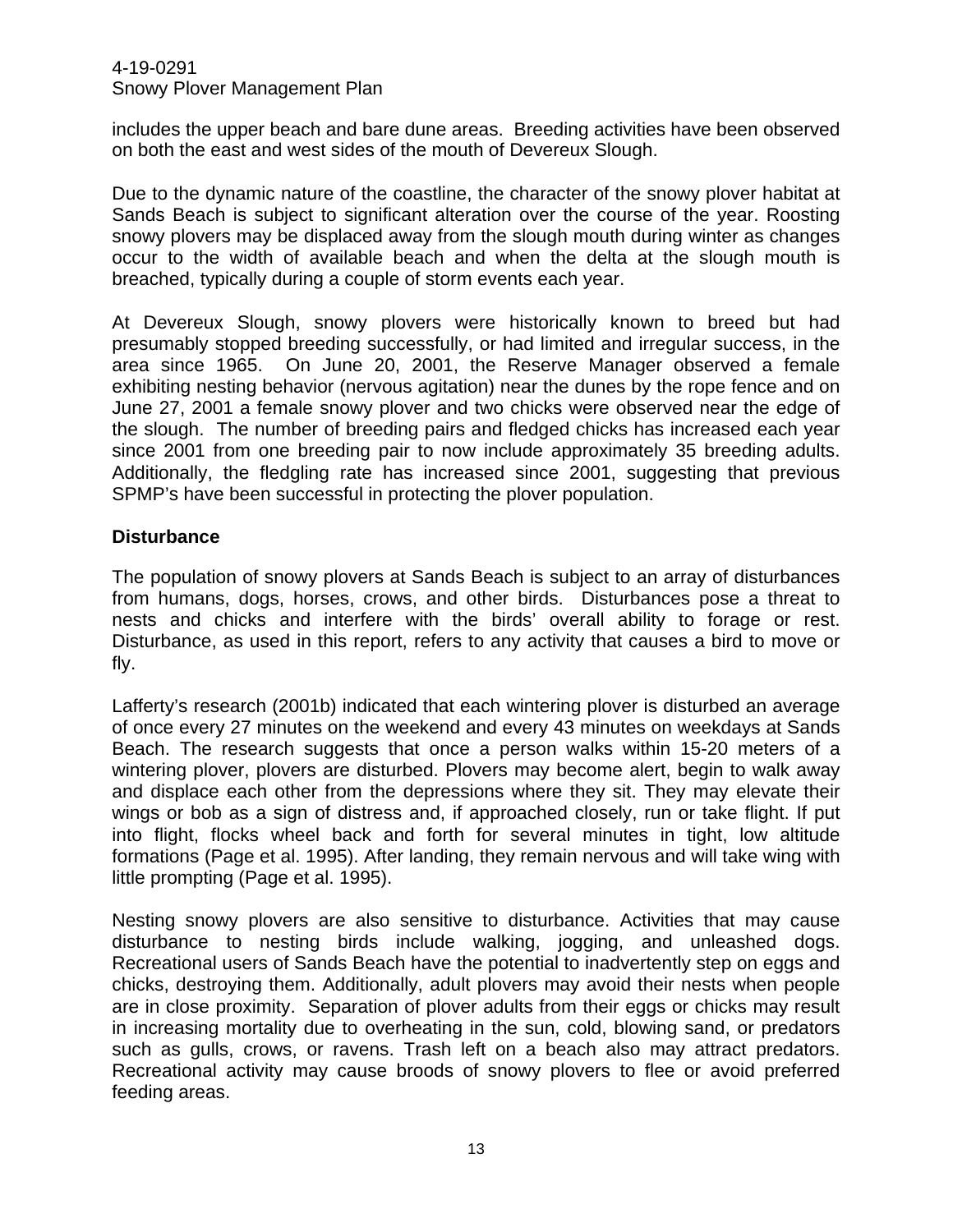includes the upper beach and bare dune areas. Breeding activities have been observed on both the east and west sides of the mouth of Devereux Slough.

Due to the dynamic nature of the coastline, the character of the snowy plover habitat at Sands Beach is subject to significant alteration over the course of the year. Roosting snowy plovers may be displaced away from the slough mouth during winter as changes occur to the width of available beach and when the delta at the slough mouth is breached, typically during a couple of storm events each year.

At Devereux Slough, snowy plovers were historically known to breed but had presumably stopped breeding successfully, or had limited and irregular success, in the area since 1965. On June 20, 2001, the Reserve Manager observed a female exhibiting nesting behavior (nervous agitation) near the dunes by the rope fence and on June 27, 2001 a female snowy plover and two chicks were observed near the edge of the slough. The number of breeding pairs and fledged chicks has increased each year since 2001 from one breeding pair to now include approximately 35 breeding adults. Additionally, the fledgling rate has increased since 2001, suggesting that previous SPMP's have been successful in protecting the plover population.

## **Disturbance**

The population of snowy plovers at Sands Beach is subject to an array of disturbances from humans, dogs, horses, crows, and other birds. Disturbances pose a threat to nests and chicks and interfere with the birds' overall ability to forage or rest. Disturbance, as used in this report, refers to any activity that causes a bird to move or fly.

Lafferty's research (2001b) indicated that each wintering plover is disturbed an average of once every 27 minutes on the weekend and every 43 minutes on weekdays at Sands Beach. The research suggests that once a person walks within 15-20 meters of a wintering plover, plovers are disturbed. Plovers may become alert, begin to walk away and displace each other from the depressions where they sit. They may elevate their wings or bob as a sign of distress and, if approached closely, run or take flight. If put into flight, flocks wheel back and forth for several minutes in tight, low altitude formations (Page et al. 1995). After landing, they remain nervous and will take wing with little prompting (Page et al. 1995).

Nesting snowy plovers are also sensitive to disturbance. Activities that may cause disturbance to nesting birds include walking, jogging, and unleashed dogs. Recreational users of Sands Beach have the potential to inadvertently step on eggs and chicks, destroying them. Additionally, adult plovers may avoid their nests when people are in close proximity. Separation of plover adults from their eggs or chicks may result in increasing mortality due to overheating in the sun, cold, blowing sand, or predators such as gulls, crows, or ravens. Trash left on a beach also may attract predators. Recreational activity may cause broods of snowy plovers to flee or avoid preferred feeding areas.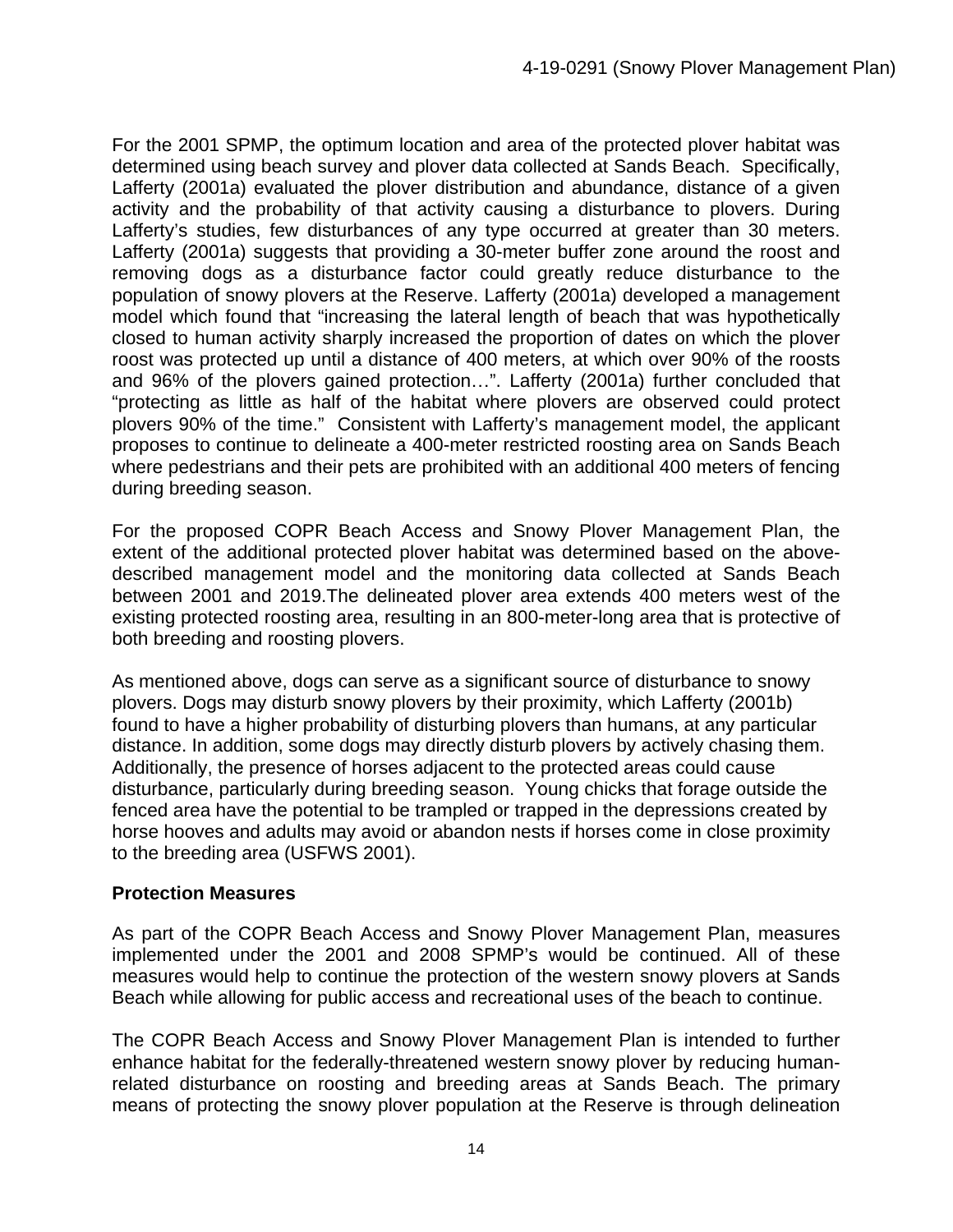For the 2001 SPMP, the optimum location and area of the protected plover habitat was determined using beach survey and plover data collected at Sands Beach. Specifically, Lafferty (2001a) evaluated the plover distribution and abundance, distance of a given activity and the probability of that activity causing a disturbance to plovers. During Lafferty's studies, few disturbances of any type occurred at greater than 30 meters. Lafferty (2001a) suggests that providing a 30-meter buffer zone around the roost and removing dogs as a disturbance factor could greatly reduce disturbance to the population of snowy plovers at the Reserve. Lafferty (2001a) developed a management model which found that "increasing the lateral length of beach that was hypothetically closed to human activity sharply increased the proportion of dates on which the plover roost was protected up until a distance of 400 meters, at which over 90% of the roosts and 96% of the plovers gained protection…". Lafferty (2001a) further concluded that "protecting as little as half of the habitat where plovers are observed could protect plovers 90% of the time." Consistent with Lafferty's management model, the applicant proposes to continue to delineate a 400-meter restricted roosting area on Sands Beach where pedestrians and their pets are prohibited with an additional 400 meters of fencing during breeding season.

For the proposed COPR Beach Access and Snowy Plover Management Plan, the extent of the additional protected plover habitat was determined based on the abovedescribed management model and the monitoring data collected at Sands Beach between 2001 and 2019.The delineated plover area extends 400 meters west of the existing protected roosting area, resulting in an 800-meter-long area that is protective of both breeding and roosting plovers.

As mentioned above, dogs can serve as a significant source of disturbance to snowy plovers. Dogs may disturb snowy plovers by their proximity, which Lafferty (2001b) found to have a higher probability of disturbing plovers than humans, at any particular distance. In addition, some dogs may directly disturb plovers by actively chasing them. Additionally, the presence of horses adjacent to the protected areas could cause disturbance, particularly during breeding season. Young chicks that forage outside the fenced area have the potential to be trampled or trapped in the depressions created by horse hooves and adults may avoid or abandon nests if horses come in close proximity to the breeding area (USFWS 2001).

## **Protection Measures**

As part of the COPR Beach Access and Snowy Plover Management Plan, measures implemented under the 2001 and 2008 SPMP's would be continued. All of these measures would help to continue the protection of the western snowy plovers at Sands Beach while allowing for public access and recreational uses of the beach to continue.

The COPR Beach Access and Snowy Plover Management Plan is intended to further enhance habitat for the federally-threatened western snowy plover by reducing humanrelated disturbance on roosting and breeding areas at Sands Beach. The primary means of protecting the snowy plover population at the Reserve is through delineation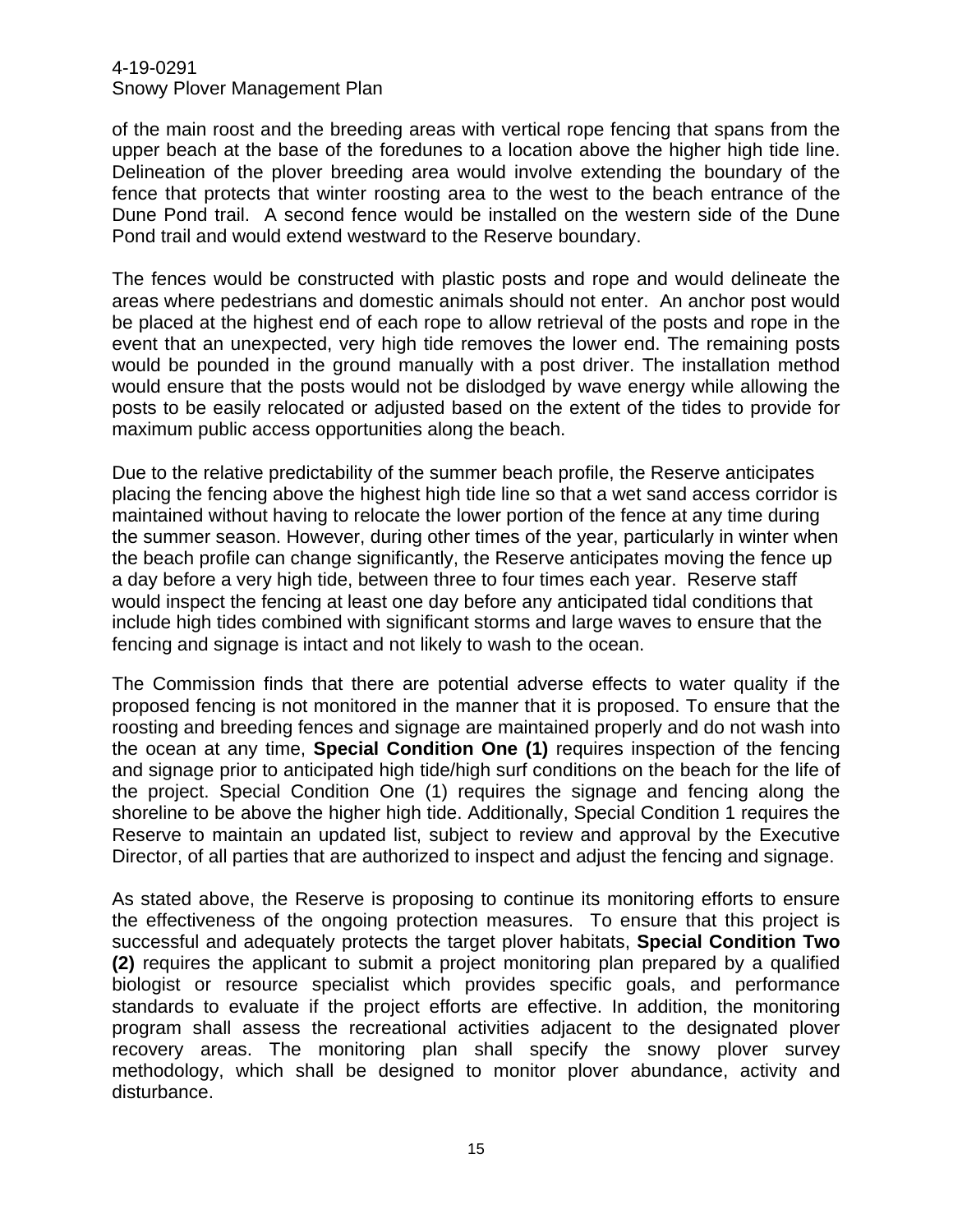of the main roost and the breeding areas with vertical rope fencing that spans from the upper beach at the base of the foredunes to a location above the higher high tide line. Delineation of the plover breeding area would involve extending the boundary of the fence that protects that winter roosting area to the west to the beach entrance of the Dune Pond trail. A second fence would be installed on the western side of the Dune Pond trail and would extend westward to the Reserve boundary.

The fences would be constructed with plastic posts and rope and would delineate the areas where pedestrians and domestic animals should not enter. An anchor post would be placed at the highest end of each rope to allow retrieval of the posts and rope in the event that an unexpected, very high tide removes the lower end. The remaining posts would be pounded in the ground manually with a post driver. The installation method would ensure that the posts would not be dislodged by wave energy while allowing the posts to be easily relocated or adjusted based on the extent of the tides to provide for maximum public access opportunities along the beach.

Due to the relative predictability of the summer beach profile, the Reserve anticipates placing the fencing above the highest high tide line so that a wet sand access corridor is maintained without having to relocate the lower portion of the fence at any time during the summer season. However, during other times of the year, particularly in winter when the beach profile can change significantly, the Reserve anticipates moving the fence up a day before a very high tide, between three to four times each year. Reserve staff would inspect the fencing at least one day before any anticipated tidal conditions that include high tides combined with significant storms and large waves to ensure that the fencing and signage is intact and not likely to wash to the ocean.

The Commission finds that there are potential adverse effects to water quality if the proposed fencing is not monitored in the manner that it is proposed. To ensure that the roosting and breeding fences and signage are maintained properly and do not wash into the ocean at any time, **Special Condition One (1)** requires inspection of the fencing and signage prior to anticipated high tide/high surf conditions on the beach for the life of the project. Special Condition One (1) requires the signage and fencing along the shoreline to be above the higher high tide. Additionally, Special Condition 1 requires the Reserve to maintain an updated list, subject to review and approval by the Executive Director, of all parties that are authorized to inspect and adjust the fencing and signage.

As stated above, the Reserve is proposing to continue its monitoring efforts to ensure the effectiveness of the ongoing protection measures. To ensure that this project is successful and adequately protects the target plover habitats, **Special Condition Two (2)** requires the applicant to submit a project monitoring plan prepared by a qualified biologist or resource specialist which provides specific goals, and performance standards to evaluate if the project efforts are effective. In addition, the monitoring program shall assess the recreational activities adjacent to the designated plover recovery areas. The monitoring plan shall specify the snowy plover survey methodology, which shall be designed to monitor plover abundance, activity and disturbance.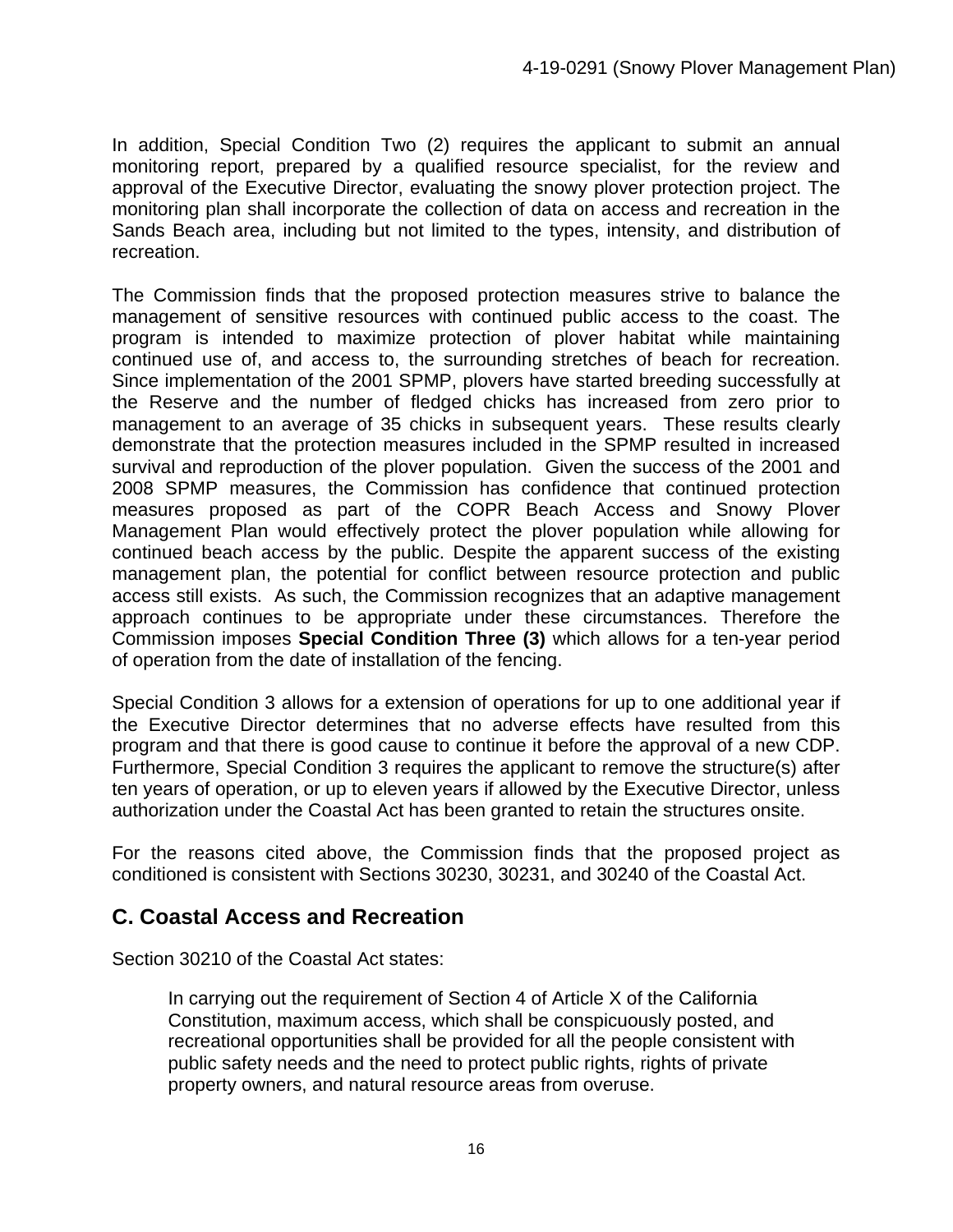In addition, Special Condition Two (2) requires the applicant to submit an annual monitoring report, prepared by a qualified resource specialist, for the review and approval of the Executive Director, evaluating the snowy plover protection project. The monitoring plan shall incorporate the collection of data on access and recreation in the Sands Beach area, including but not limited to the types, intensity, and distribution of recreation.

The Commission finds that the proposed protection measures strive to balance the management of sensitive resources with continued public access to the coast. The program is intended to maximize protection of plover habitat while maintaining continued use of, and access to, the surrounding stretches of beach for recreation. Since implementation of the 2001 SPMP, plovers have started breeding successfully at the Reserve and the number of fledged chicks has increased from zero prior to management to an average of 35 chicks in subsequent years. These results clearly demonstrate that the protection measures included in the SPMP resulted in increased survival and reproduction of the plover population. Given the success of the 2001 and 2008 SPMP measures, the Commission has confidence that continued protection measures proposed as part of the COPR Beach Access and Snowy Plover Management Plan would effectively protect the plover population while allowing for continued beach access by the public. Despite the apparent success of the existing management plan, the potential for conflict between resource protection and public access still exists. As such, the Commission recognizes that an adaptive management approach continues to be appropriate under these circumstances. Therefore the Commission imposes **Special Condition Three (3)** which allows for a ten-year period of operation from the date of installation of the fencing.

Special Condition 3 allows for a extension of operations for up to one additional year if the Executive Director determines that no adverse effects have resulted from this program and that there is good cause to continue it before the approval of a new CDP. Furthermore, Special Condition 3 requires the applicant to remove the structure(s) after ten years of operation, or up to eleven years if allowed by the Executive Director, unless authorization under the Coastal Act has been granted to retain the structures onsite.

For the reasons cited above, the Commission finds that the proposed project as conditioned is consistent with Sections 30230, 30231, and 30240 of the Coastal Act.

# **C. Coastal Access and Recreation**

Section 30210 of the Coastal Act states:

In carrying out the requirement of Section 4 of Article X of the California Constitution, maximum access, which shall be conspicuously posted, and recreational opportunities shall be provided for all the people consistent with public safety needs and the need to protect public rights, rights of private property owners, and natural resource areas from overuse.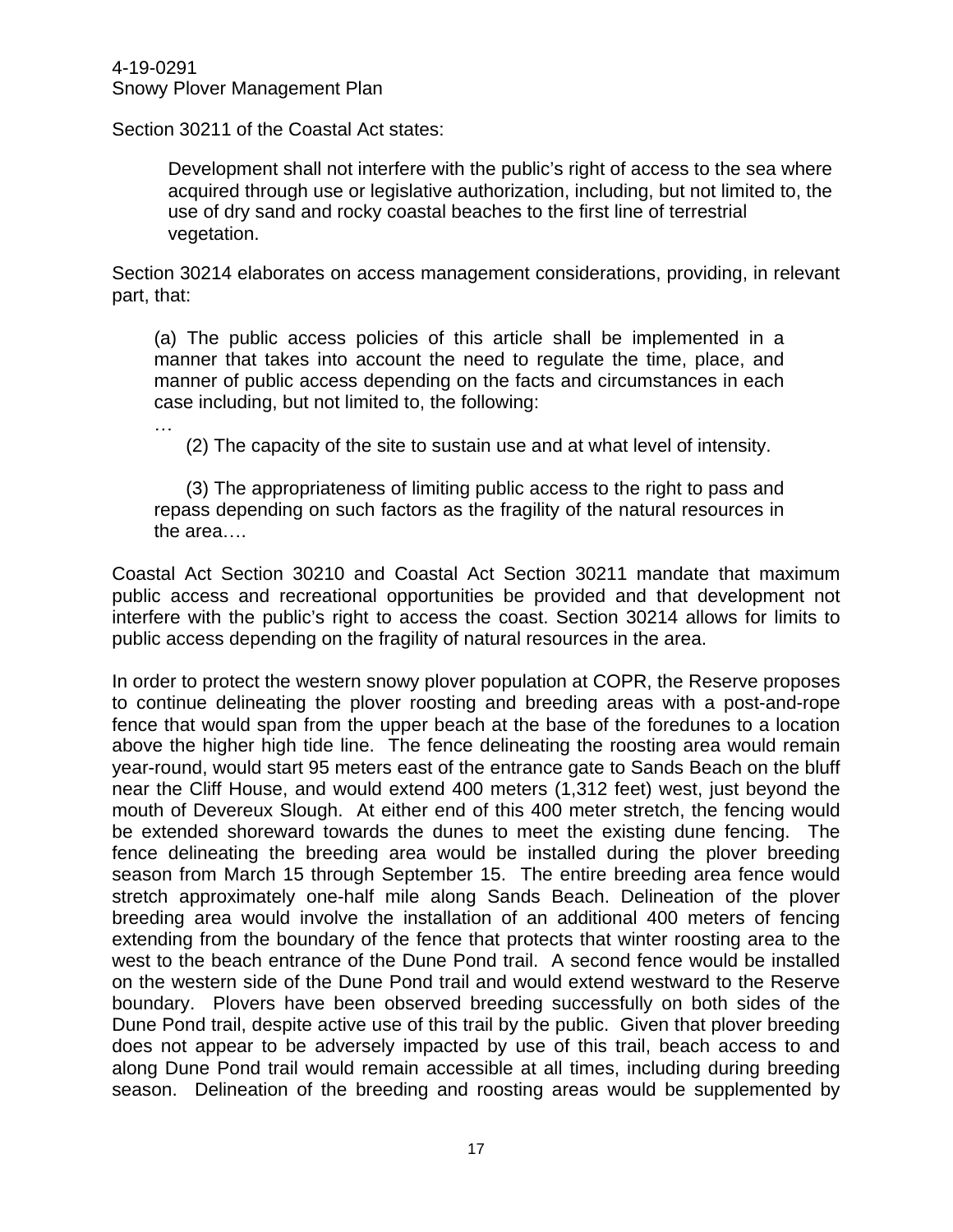…

Section 30211 of the Coastal Act states:

Development shall not interfere with the public's right of access to the sea where acquired through use or legislative authorization, including, but not limited to, the use of dry sand and rocky coastal beaches to the first line of terrestrial vegetation.

Section 30214 elaborates on access management considerations, providing, in relevant part, that:

(a) The public access policies of this article shall be implemented in a manner that takes into account the need to regulate the time, place, and manner of public access depending on the facts and circumstances in each case including, but not limited to, the following:

(2) The capacity of the site to sustain use and at what level of intensity.

(3) The appropriateness of limiting public access to the right to pass and repass depending on such factors as the fragility of the natural resources in the area….

Coastal Act Section 30210 and Coastal Act Section 30211 mandate that maximum public access and recreational opportunities be provided and that development not interfere with the public's right to access the coast. Section 30214 allows for limits to public access depending on the fragility of natural resources in the area.

In order to protect the western snowy plover population at COPR, the Reserve proposes to continue delineating the plover roosting and breeding areas with a post-and-rope fence that would span from the upper beach at the base of the foredunes to a location above the higher high tide line. The fence delineating the roosting area would remain year-round, would start 95 meters east of the entrance gate to Sands Beach on the bluff near the Cliff House, and would extend 400 meters (1,312 feet) west, just beyond the mouth of Devereux Slough. At either end of this 400 meter stretch, the fencing would be extended shoreward towards the dunes to meet the existing dune fencing. The fence delineating the breeding area would be installed during the plover breeding season from March 15 through September 15. The entire breeding area fence would stretch approximately one-half mile along Sands Beach. Delineation of the plover breeding area would involve the installation of an additional 400 meters of fencing extending from the boundary of the fence that protects that winter roosting area to the west to the beach entrance of the Dune Pond trail. A second fence would be installed on the western side of the Dune Pond trail and would extend westward to the Reserve boundary. Plovers have been observed breeding successfully on both sides of the Dune Pond trail, despite active use of this trail by the public. Given that plover breeding does not appear to be adversely impacted by use of this trail, beach access to and along Dune Pond trail would remain accessible at all times, including during breeding season. Delineation of the breeding and roosting areas would be supplemented by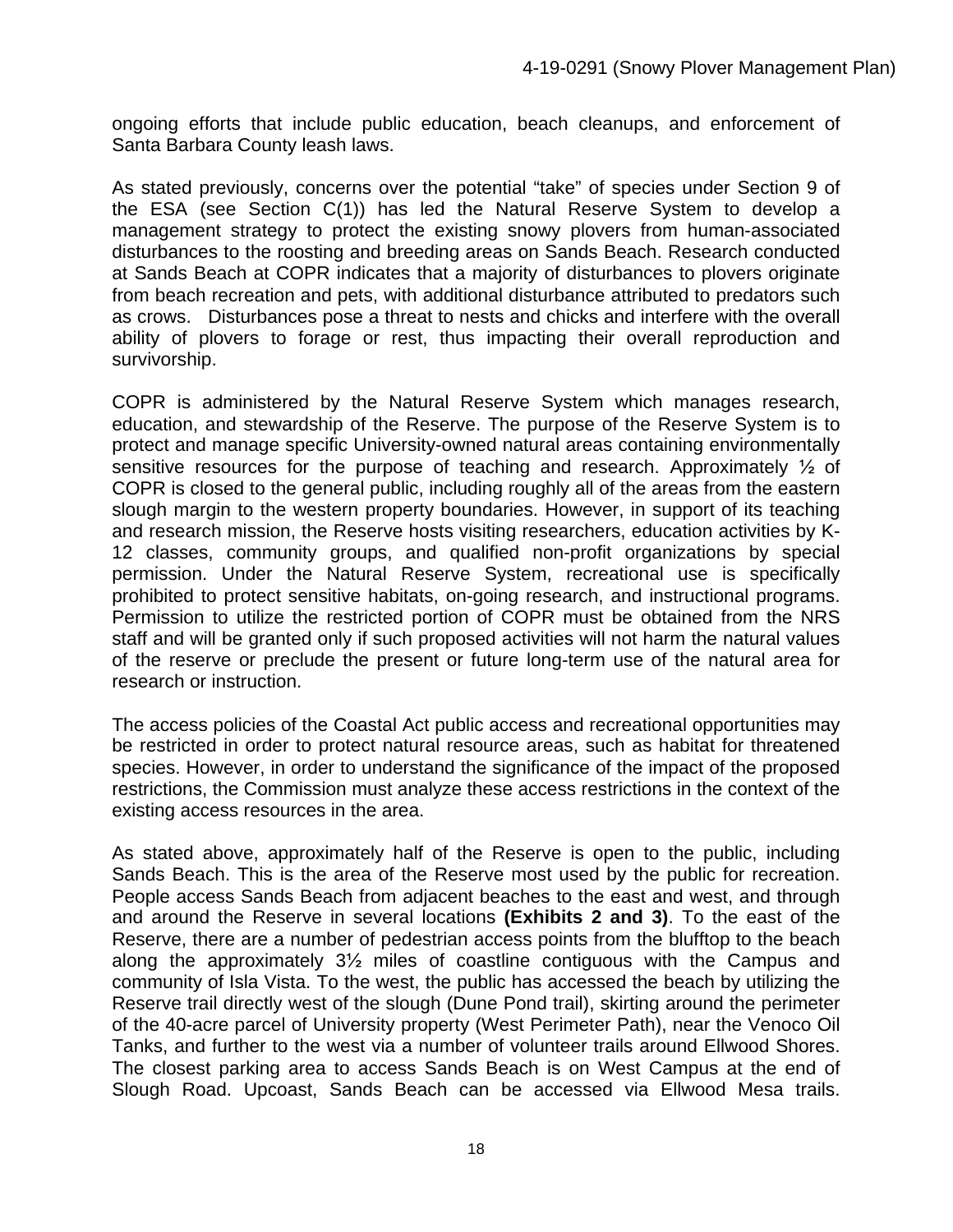ongoing efforts that include public education, beach cleanups, and enforcement of Santa Barbara County leash laws.

As stated previously, concerns over the potential "take" of species under Section 9 of the ESA (see Section C(1)) has led the Natural Reserve System to develop a management strategy to protect the existing snowy plovers from human-associated disturbances to the roosting and breeding areas on Sands Beach. Research conducted at Sands Beach at COPR indicates that a majority of disturbances to plovers originate from beach recreation and pets, with additional disturbance attributed to predators such as crows. Disturbances pose a threat to nests and chicks and interfere with the overall ability of plovers to forage or rest, thus impacting their overall reproduction and survivorship.

COPR is administered by the Natural Reserve System which manages research, education, and stewardship of the Reserve. The purpose of the Reserve System is to protect and manage specific University-owned natural areas containing environmentally sensitive resources for the purpose of teaching and research. Approximately ½ of COPR is closed to the general public, including roughly all of the areas from the eastern slough margin to the western property boundaries. However, in support of its teaching and research mission, the Reserve hosts visiting researchers, education activities by K-12 classes, community groups, and qualified non-profit organizations by special permission. Under the Natural Reserve System, recreational use is specifically prohibited to protect sensitive habitats, on-going research, and instructional programs. Permission to utilize the restricted portion of COPR must be obtained from the NRS staff and will be granted only if such proposed activities will not harm the natural values of the reserve or preclude the present or future long-term use of the natural area for research or instruction.

The access policies of the Coastal Act public access and recreational opportunities may be restricted in order to protect natural resource areas, such as habitat for threatened species. However, in order to understand the significance of the impact of the proposed restrictions, the Commission must analyze these access restrictions in the context of the existing access resources in the area.

As stated above, approximately half of the Reserve is open to the public, including Sands Beach. This is the area of the Reserve most used by the public for recreation. People access Sands Beach from adjacent beaches to the east and west, and through and around the Reserve in several locations **(Exhibits 2 and 3)**. To the east of the Reserve, there are a number of pedestrian access points from the blufftop to the beach along the approximately 3½ miles of coastline contiguous with the Campus and community of Isla Vista. To the west, the public has accessed the beach by utilizing the Reserve trail directly west of the slough (Dune Pond trail), skirting around the perimeter of the 40-acre parcel of University property (West Perimeter Path), near the Venoco Oil Tanks, and further to the west via a number of volunteer trails around Ellwood Shores. The closest parking area to access Sands Beach is on West Campus at the end of Slough Road. Upcoast, Sands Beach can be accessed via Ellwood Mesa trails.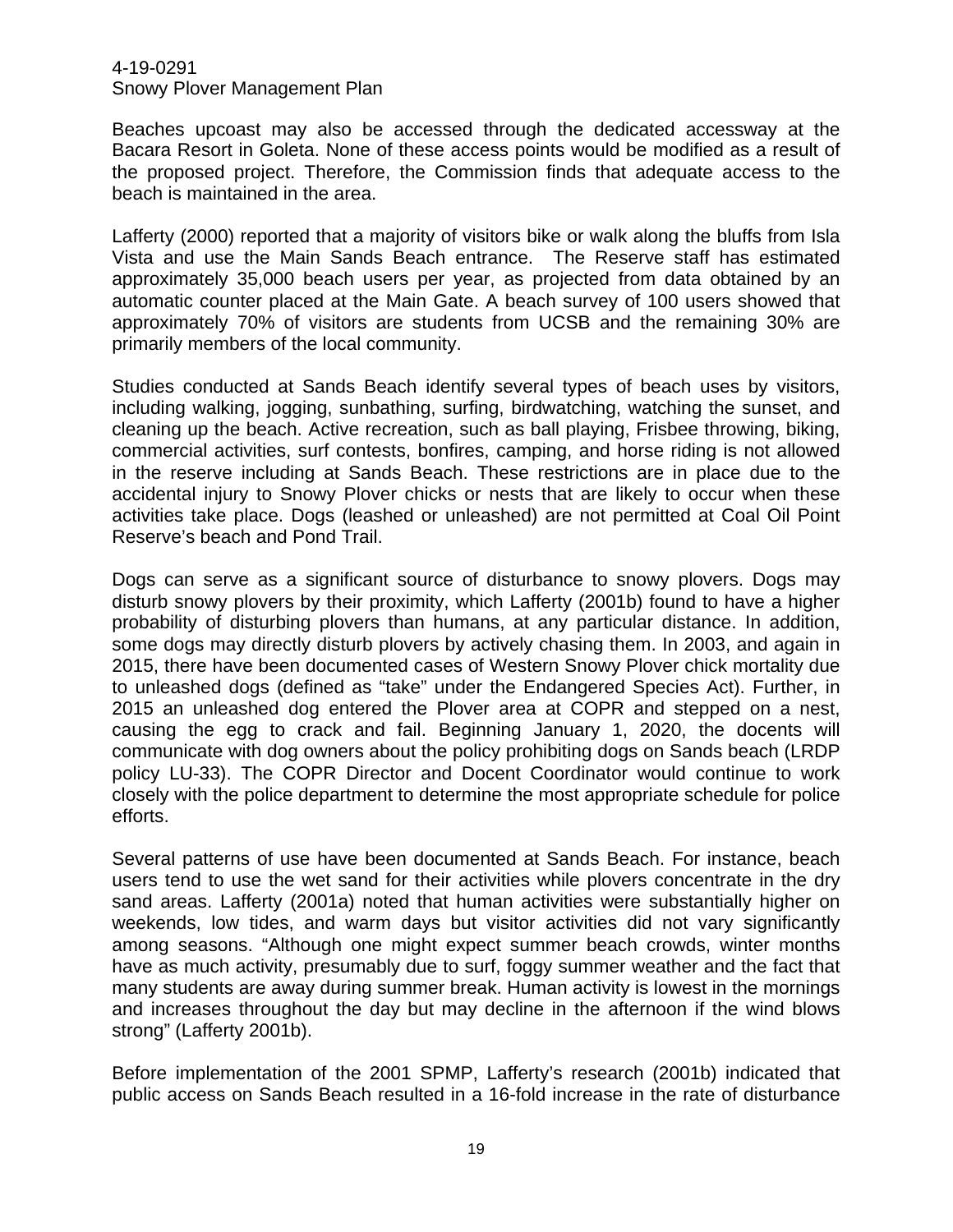Beaches upcoast may also be accessed through the dedicated accessway at the Bacara Resort in Goleta. None of these access points would be modified as a result of the proposed project. Therefore, the Commission finds that adequate access to the beach is maintained in the area.

Lafferty (2000) reported that a majority of visitors bike or walk along the bluffs from Isla Vista and use the Main Sands Beach entrance. The Reserve staff has estimated approximately 35,000 beach users per year, as projected from data obtained by an automatic counter placed at the Main Gate. A beach survey of 100 users showed that approximately 70% of visitors are students from UCSB and the remaining 30% are primarily members of the local community.

Studies conducted at Sands Beach identify several types of beach uses by visitors, including walking, jogging, sunbathing, surfing, birdwatching, watching the sunset, and cleaning up the beach. Active recreation, such as ball playing, Frisbee throwing, biking, commercial activities, surf contests, bonfires, camping, and horse riding is not allowed in the reserve including at Sands Beach. These restrictions are in place due to the accidental injury to Snowy Plover chicks or nests that are likely to occur when these activities take place. Dogs (leashed or unleashed) are not permitted at Coal Oil Point Reserve's beach and Pond Trail.

Dogs can serve as a significant source of disturbance to snowy plovers. Dogs may disturb snowy plovers by their proximity, which Lafferty (2001b) found to have a higher probability of disturbing plovers than humans, at any particular distance. In addition, some dogs may directly disturb plovers by actively chasing them. In 2003, and again in 2015, there have been documented cases of Western Snowy Plover chick mortality due to unleashed dogs (defined as "take" under the Endangered Species Act). Further, in 2015 an unleashed dog entered the Plover area at COPR and stepped on a nest, causing the egg to crack and fail. Beginning January 1, 2020, the docents will communicate with dog owners about the policy prohibiting dogs on Sands beach (LRDP policy LU-33). The COPR Director and Docent Coordinator would continue to work closely with the police department to determine the most appropriate schedule for police efforts.

Several patterns of use have been documented at Sands Beach. For instance, beach users tend to use the wet sand for their activities while plovers concentrate in the dry sand areas. Lafferty (2001a) noted that human activities were substantially higher on weekends, low tides, and warm days but visitor activities did not vary significantly among seasons. "Although one might expect summer beach crowds, winter months have as much activity, presumably due to surf, foggy summer weather and the fact that many students are away during summer break. Human activity is lowest in the mornings and increases throughout the day but may decline in the afternoon if the wind blows strong" (Lafferty 2001b).

Before implementation of the 2001 SPMP, Lafferty's research (2001b) indicated that public access on Sands Beach resulted in a 16-fold increase in the rate of disturbance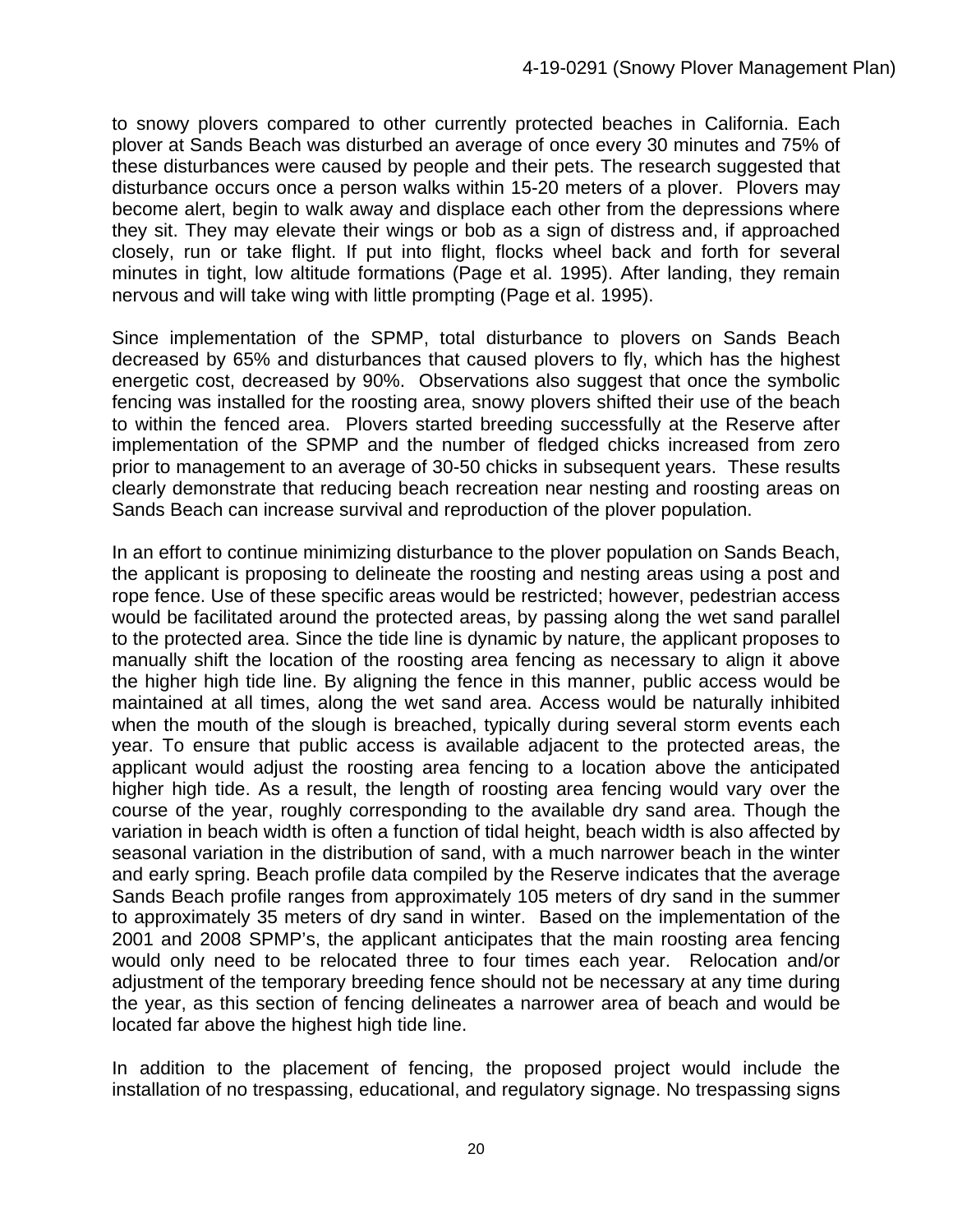to snowy plovers compared to other currently protected beaches in California. Each plover at Sands Beach was disturbed an average of once every 30 minutes and 75% of these disturbances were caused by people and their pets. The research suggested that disturbance occurs once a person walks within 15-20 meters of a plover. Plovers may become alert, begin to walk away and displace each other from the depressions where they sit. They may elevate their wings or bob as a sign of distress and, if approached closely, run or take flight. If put into flight, flocks wheel back and forth for several minutes in tight, low altitude formations (Page et al. 1995). After landing, they remain nervous and will take wing with little prompting (Page et al. 1995).

Since implementation of the SPMP, total disturbance to plovers on Sands Beach decreased by 65% and disturbances that caused plovers to fly, which has the highest energetic cost, decreased by 90%. Observations also suggest that once the symbolic fencing was installed for the roosting area, snowy plovers shifted their use of the beach to within the fenced area. Plovers started breeding successfully at the Reserve after implementation of the SPMP and the number of fledged chicks increased from zero prior to management to an average of 30-50 chicks in subsequent years. These results clearly demonstrate that reducing beach recreation near nesting and roosting areas on Sands Beach can increase survival and reproduction of the plover population.

In an effort to continue minimizing disturbance to the plover population on Sands Beach, the applicant is proposing to delineate the roosting and nesting areas using a post and rope fence. Use of these specific areas would be restricted; however, pedestrian access would be facilitated around the protected areas, by passing along the wet sand parallel to the protected area. Since the tide line is dynamic by nature, the applicant proposes to manually shift the location of the roosting area fencing as necessary to align it above the higher high tide line. By aligning the fence in this manner, public access would be maintained at all times, along the wet sand area. Access would be naturally inhibited when the mouth of the slough is breached, typically during several storm events each year. To ensure that public access is available adjacent to the protected areas, the applicant would adjust the roosting area fencing to a location above the anticipated higher high tide. As a result, the length of roosting area fencing would vary over the course of the year, roughly corresponding to the available dry sand area. Though the variation in beach width is often a function of tidal height, beach width is also affected by seasonal variation in the distribution of sand, with a much narrower beach in the winter and early spring. Beach profile data compiled by the Reserve indicates that the average Sands Beach profile ranges from approximately 105 meters of dry sand in the summer to approximately 35 meters of dry sand in winter. Based on the implementation of the 2001 and 2008 SPMP's, the applicant anticipates that the main roosting area fencing would only need to be relocated three to four times each year. Relocation and/or adjustment of the temporary breeding fence should not be necessary at any time during the year, as this section of fencing delineates a narrower area of beach and would be located far above the highest high tide line.

In addition to the placement of fencing, the proposed project would include the installation of no trespassing, educational, and regulatory signage. No trespassing signs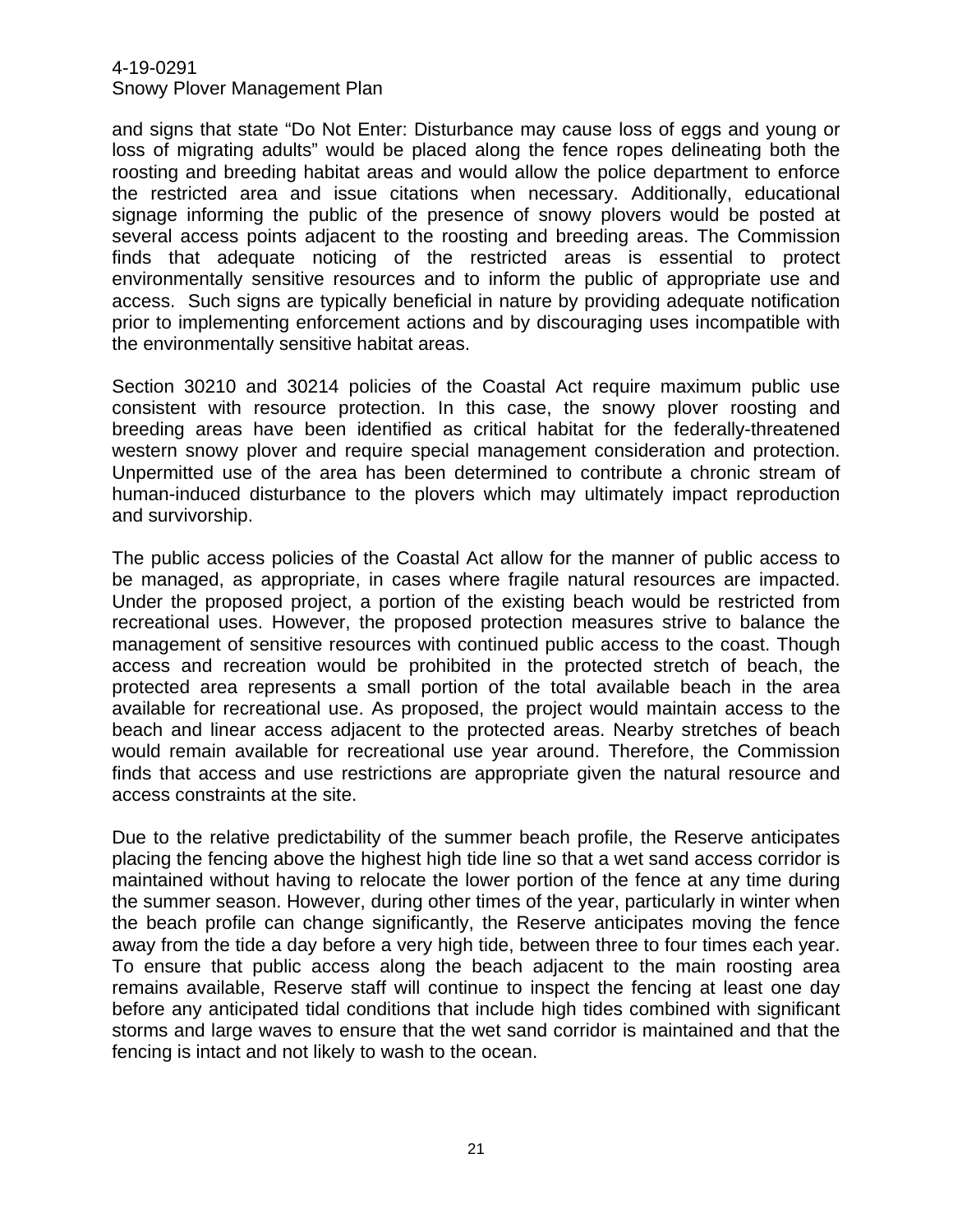# 4-19-0291

Snowy Plover Management Plan

and signs that state "Do Not Enter: Disturbance may cause loss of eggs and young or loss of migrating adults" would be placed along the fence ropes delineating both the roosting and breeding habitat areas and would allow the police department to enforce the restricted area and issue citations when necessary. Additionally, educational signage informing the public of the presence of snowy plovers would be posted at several access points adjacent to the roosting and breeding areas. The Commission finds that adequate noticing of the restricted areas is essential to protect environmentally sensitive resources and to inform the public of appropriate use and access. Such signs are typically beneficial in nature by providing adequate notification prior to implementing enforcement actions and by discouraging uses incompatible with the environmentally sensitive habitat areas.

Section 30210 and 30214 policies of the Coastal Act require maximum public use consistent with resource protection. In this case, the snowy plover roosting and breeding areas have been identified as critical habitat for the federally-threatened western snowy plover and require special management consideration and protection. Unpermitted use of the area has been determined to contribute a chronic stream of human-induced disturbance to the plovers which may ultimately impact reproduction and survivorship.

The public access policies of the Coastal Act allow for the manner of public access to be managed, as appropriate, in cases where fragile natural resources are impacted. Under the proposed project, a portion of the existing beach would be restricted from recreational uses. However, the proposed protection measures strive to balance the management of sensitive resources with continued public access to the coast. Though access and recreation would be prohibited in the protected stretch of beach, the protected area represents a small portion of the total available beach in the area available for recreational use. As proposed, the project would maintain access to the beach and linear access adjacent to the protected areas. Nearby stretches of beach would remain available for recreational use year around. Therefore, the Commission finds that access and use restrictions are appropriate given the natural resource and access constraints at the site.

Due to the relative predictability of the summer beach profile, the Reserve anticipates placing the fencing above the highest high tide line so that a wet sand access corridor is maintained without having to relocate the lower portion of the fence at any time during the summer season. However, during other times of the year, particularly in winter when the beach profile can change significantly, the Reserve anticipates moving the fence away from the tide a day before a very high tide, between three to four times each year. To ensure that public access along the beach adjacent to the main roosting area remains available, Reserve staff will continue to inspect the fencing at least one day before any anticipated tidal conditions that include high tides combined with significant storms and large waves to ensure that the wet sand corridor is maintained and that the fencing is intact and not likely to wash to the ocean.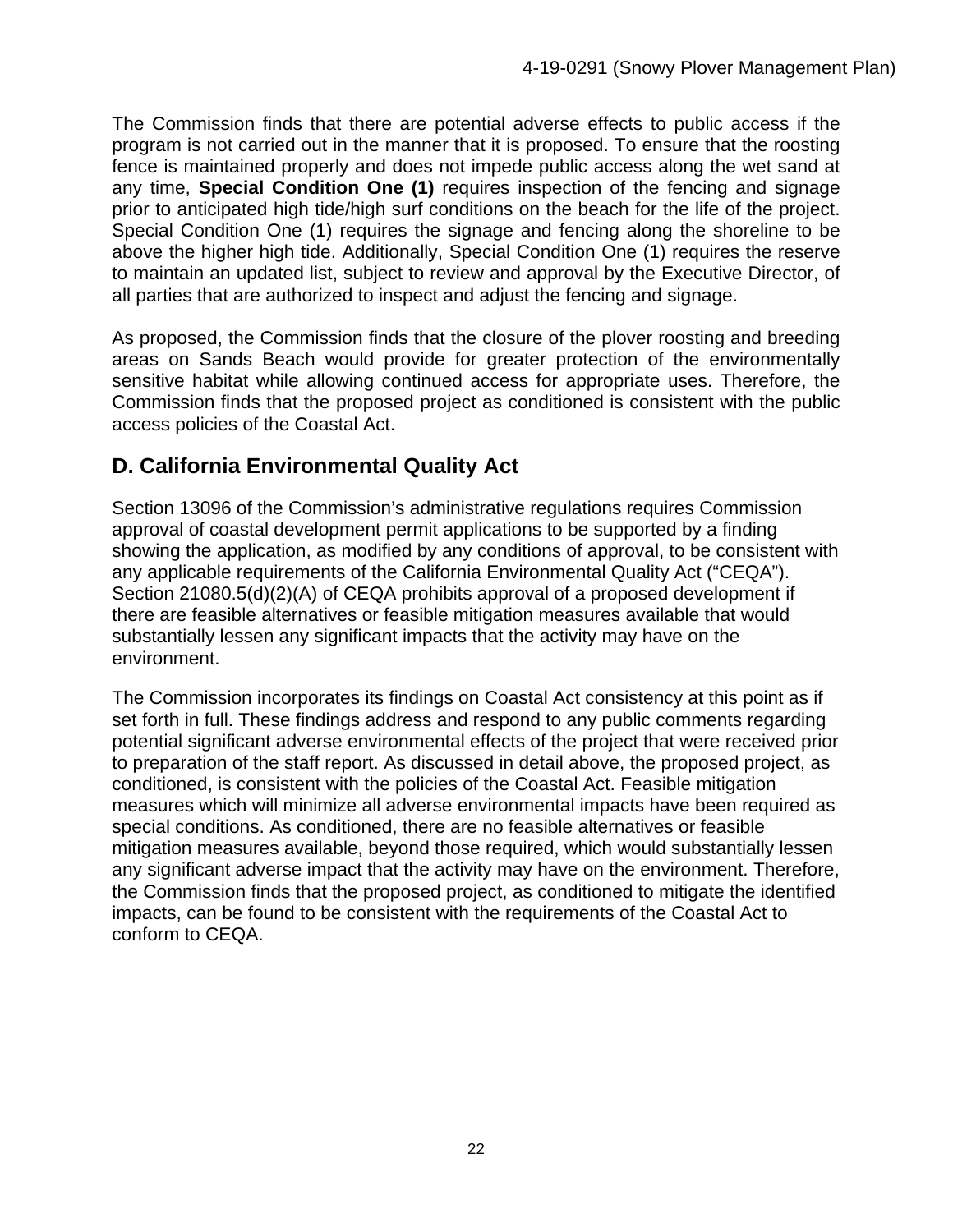The Commission finds that there are potential adverse effects to public access if the program is not carried out in the manner that it is proposed. To ensure that the roosting fence is maintained properly and does not impede public access along the wet sand at any time, **Special Condition One (1)** requires inspection of the fencing and signage prior to anticipated high tide/high surf conditions on the beach for the life of the project. Special Condition One (1) requires the signage and fencing along the shoreline to be above the higher high tide. Additionally, Special Condition One (1) requires the reserve to maintain an updated list, subject to review and approval by the Executive Director, of all parties that are authorized to inspect and adjust the fencing and signage.

As proposed, the Commission finds that the closure of the plover roosting and breeding areas on Sands Beach would provide for greater protection of the environmentally sensitive habitat while allowing continued access for appropriate uses. Therefore, the Commission finds that the proposed project as conditioned is consistent with the public access policies of the Coastal Act.

# **D. California Environmental Quality Act**

Section 13096 of the Commission's administrative regulations requires Commission approval of coastal development permit applications to be supported by a finding showing the application, as modified by any conditions of approval, to be consistent with any applicable requirements of the California Environmental Quality Act ("CEQA"). Section 21080.5(d)(2)(A) of CEQA prohibits approval of a proposed development if there are feasible alternatives or feasible mitigation measures available that would substantially lessen any significant impacts that the activity may have on the environment.

The Commission incorporates its findings on Coastal Act consistency at this point as if set forth in full. These findings address and respond to any public comments regarding potential significant adverse environmental effects of the project that were received prior to preparation of the staff report. As discussed in detail above, the proposed project, as conditioned, is consistent with the policies of the Coastal Act. Feasible mitigation measures which will minimize all adverse environmental impacts have been required as special conditions. As conditioned, there are no feasible alternatives or feasible mitigation measures available, beyond those required, which would substantially lessen any significant adverse impact that the activity may have on the environment. Therefore, the Commission finds that the proposed project, as conditioned to mitigate the identified impacts, can be found to be consistent with the requirements of the Coastal Act to conform to CEQA.